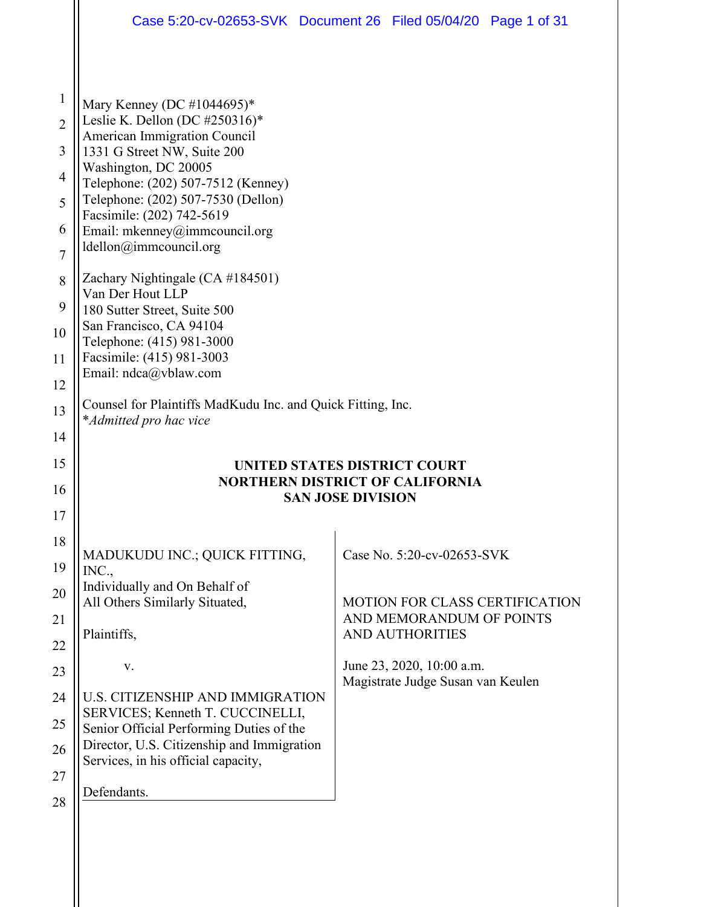|                | Case 5:20-cv-02653-SVK Document 26 Filed 05/04/20 Page 1 of 31                        |                          |                                                                |  |
|----------------|---------------------------------------------------------------------------------------|--------------------------|----------------------------------------------------------------|--|
|                |                                                                                       |                          |                                                                |  |
| $\mathbf{1}$   | Mary Kenney (DC #1044695)*                                                            |                          |                                                                |  |
| $\overline{2}$ | Leslie K. Dellon (DC #250316)*<br>American Immigration Council                        |                          |                                                                |  |
| 3              | 1331 G Street NW, Suite 200                                                           |                          |                                                                |  |
| $\overline{4}$ | Washington, DC 20005<br>Telephone: (202) 507-7512 (Kenney)                            |                          |                                                                |  |
| 5              | Telephone: (202) 507-7530 (Dellon)<br>Facsimile: (202) 742-5619                       |                          |                                                                |  |
| 6              | Email: mkenney@immcouncil.org                                                         |                          |                                                                |  |
| $\overline{7}$ | ldellon@immcouncil.org                                                                |                          |                                                                |  |
| 8              | Zachary Nightingale (CA #184501)<br>Van Der Hout LLP                                  |                          |                                                                |  |
| 9              | 180 Sutter Street, Suite 500                                                          |                          |                                                                |  |
| 10             | San Francisco, CA 94104<br>Telephone: (415) 981-3000                                  |                          |                                                                |  |
| 11             | Facsimile: (415) 981-3003<br>Email: ndca@vblaw.com                                    |                          |                                                                |  |
| 12             |                                                                                       |                          |                                                                |  |
| 13             | Counsel for Plaintiffs MadKudu Inc. and Quick Fitting, Inc.<br>*Admitted pro hac vice |                          |                                                                |  |
| 14             |                                                                                       |                          |                                                                |  |
| 15             | <b>UNITED STATES DISTRICT COURT</b>                                                   |                          |                                                                |  |
| 16             | <b>NORTHERN DISTRICT OF CALIFORNIA</b>                                                | <b>SAN JOSE DIVISION</b> |                                                                |  |
| 17             |                                                                                       |                          |                                                                |  |
| 18             | MADUKUDU INC.; QUICK FITTING,                                                         |                          | Case No. 5:20-cv-02653-SVK                                     |  |
| 19             | INC.,                                                                                 |                          |                                                                |  |
| 20             | Individually and On Behalf of<br>All Others Similarly Situated,                       |                          | <b>MOTION FOR CLASS CERTIFICATION</b>                          |  |
| 21             | Plaintiffs,                                                                           |                          | AND MEMORANDUM OF POINTS<br><b>AND AUTHORITIES</b>             |  |
| 22             |                                                                                       |                          |                                                                |  |
| 23             | V.                                                                                    |                          | June 23, 2020, 10:00 a.m.<br>Magistrate Judge Susan van Keulen |  |
| 24             | <b>U.S. CITIZENSHIP AND IMMIGRATION</b><br>SERVICES; Kenneth T. CUCCINELLI,           |                          |                                                                |  |
| 25             | Senior Official Performing Duties of the                                              |                          |                                                                |  |
| 26             | Director, U.S. Citizenship and Immigration<br>Services, in his official capacity,     |                          |                                                                |  |
| 27             | Defendants.                                                                           |                          |                                                                |  |
| 28             |                                                                                       |                          |                                                                |  |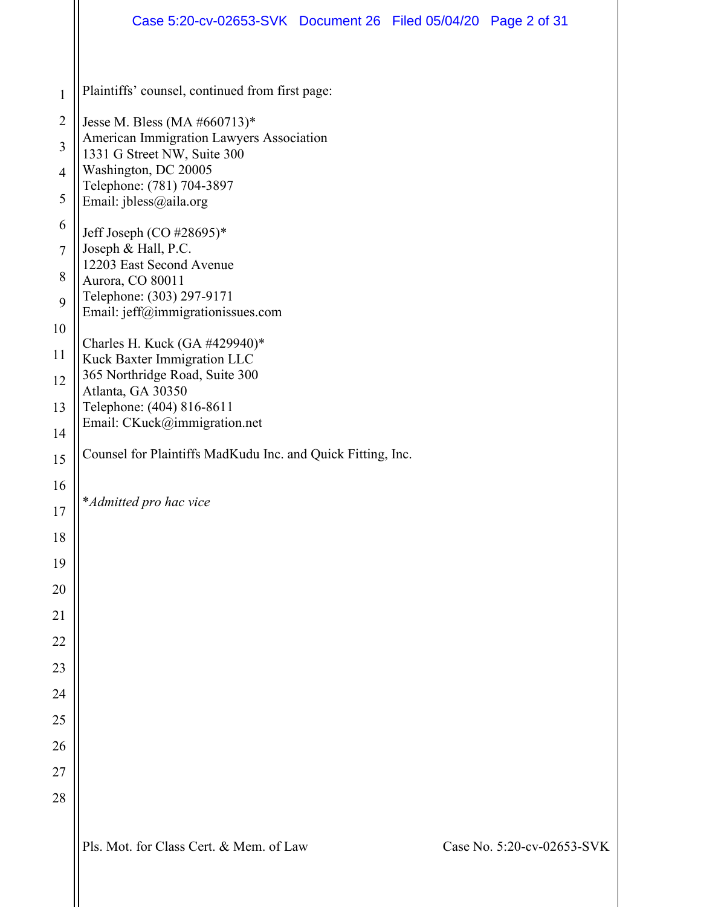|                | Case 5:20-cv-02653-SVK Document 26 Filed 05/04/20 Page 2 of 31          |  |                            |
|----------------|-------------------------------------------------------------------------|--|----------------------------|
| $\mathbf{1}$   | Plaintiffs' counsel, continued from first page:                         |  |                            |
| $\overline{2}$ | Jesse M. Bless (MA #660713)*                                            |  |                            |
| $\overline{3}$ | American Immigration Lawyers Association<br>1331 G Street NW, Suite 300 |  |                            |
| $\overline{4}$ | Washington, DC 20005                                                    |  |                            |
| 5              | Telephone: (781) 704-3897<br>Email: jbless@aila.org                     |  |                            |
| 6              | Jeff Joseph (CO #28695)*                                                |  |                            |
| $\tau$         | Joseph & Hall, P.C.                                                     |  |                            |
| 8              | 12203 East Second Avenue<br>Aurora, CO 80011                            |  |                            |
| 9              | Telephone: (303) 297-9171                                               |  |                            |
| 10             | Email: jeff@immigrationissues.com                                       |  |                            |
| 11             | Charles H. Kuck (GA #429940)*<br>Kuck Baxter Immigration LLC            |  |                            |
| 12             | 365 Northridge Road, Suite 300                                          |  |                            |
| 13             | Atlanta, GA 30350<br>Telephone: (404) 816-8611                          |  |                            |
| 14             | Email: CKuck@immigration.net                                            |  |                            |
| 15             | Counsel for Plaintiffs MadKudu Inc. and Quick Fitting, Inc.             |  |                            |
| 16             |                                                                         |  |                            |
| 17             | *Admitted pro hac vice                                                  |  |                            |
| 18             |                                                                         |  |                            |
| 19             |                                                                         |  |                            |
| 20             |                                                                         |  |                            |
| 21             |                                                                         |  |                            |
| 22             |                                                                         |  |                            |
| 23             |                                                                         |  |                            |
| 24             |                                                                         |  |                            |
| 25             |                                                                         |  |                            |
| 26             |                                                                         |  |                            |
| 27             |                                                                         |  |                            |
| 28             |                                                                         |  |                            |
|                | Pls. Mot. for Class Cert. & Mem. of Law                                 |  | Case No. 5:20-cv-02653-SVK |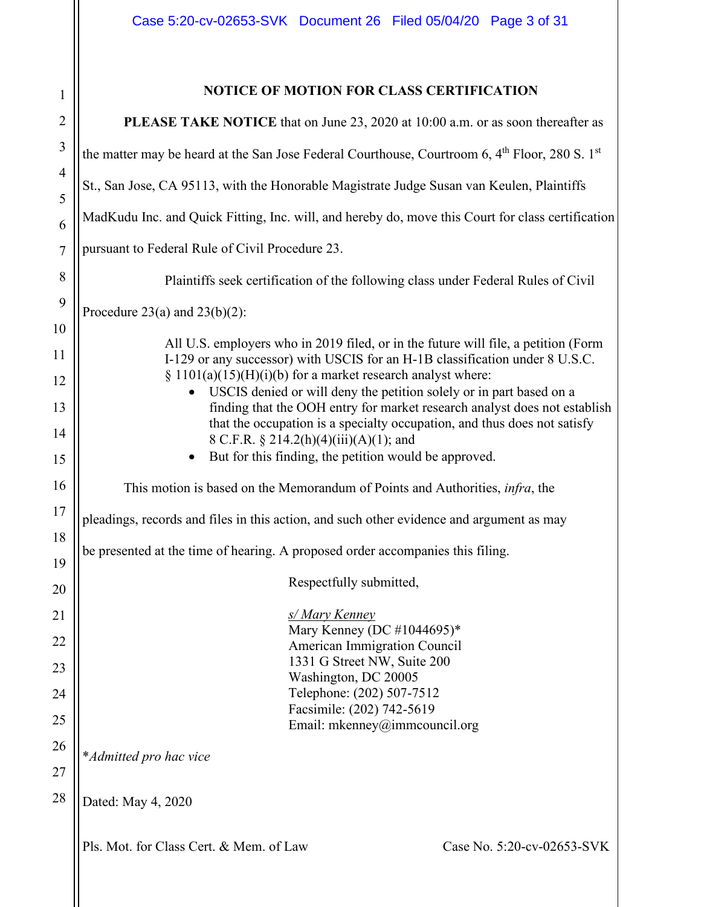| $\mathfrak{p}$   |                |
|------------------|----------------|
|                  | $\overline{2}$ |
| 3                |                |
| $\overline{4}$   |                |
| 5                |                |
| 6                |                |
| $\overline{7}$   |                |
| 8                |                |
| 9                |                |
| 10               |                |
| 11               |                |
| 12               |                |
| 13               |                |
| 14               |                |
| 15               |                |
| 16               |                |
| 17               |                |
| 18               |                |
| 19               |                |
| $20^{\degree}$   |                |
| $\overline{21}$  |                |
| 27               |                |
| $\overline{2}$ : |                |
| 24               |                |
| 25               |                |
| 26               |                |
| $\overline{27}$  |                |
| $^{28}$          |                |

# **NOTICE OF MOTION FOR CLASS CERTIFICATION**

| PLEASE TAKE NOTICE that on June 23, 2020 at 10:00 a.m. or as soon thereafter as                                                                                                                                                                                                                                                                                                                                                                                                                                                                                                      |
|--------------------------------------------------------------------------------------------------------------------------------------------------------------------------------------------------------------------------------------------------------------------------------------------------------------------------------------------------------------------------------------------------------------------------------------------------------------------------------------------------------------------------------------------------------------------------------------|
| the matter may be heard at the San Jose Federal Courthouse, Courtroom 6, 4 <sup>th</sup> Floor, 280 S. 1 <sup>st</sup>                                                                                                                                                                                                                                                                                                                                                                                                                                                               |
| St., San Jose, CA 95113, with the Honorable Magistrate Judge Susan van Keulen, Plaintiffs                                                                                                                                                                                                                                                                                                                                                                                                                                                                                            |
| MadKudu Inc. and Quick Fitting, Inc. will, and hereby do, move this Court for class certification                                                                                                                                                                                                                                                                                                                                                                                                                                                                                    |
| pursuant to Federal Rule of Civil Procedure 23.                                                                                                                                                                                                                                                                                                                                                                                                                                                                                                                                      |
| Plaintiffs seek certification of the following class under Federal Rules of Civil                                                                                                                                                                                                                                                                                                                                                                                                                                                                                                    |
| Procedure 23(a) and 23(b)(2):                                                                                                                                                                                                                                                                                                                                                                                                                                                                                                                                                        |
| All U.S. employers who in 2019 filed, or in the future will file, a petition (Form<br>I-129 or any successor) with USCIS for an H-1B classification under 8 U.S.C.<br>$\S$ 1101(a)(15)(H)(i)(b) for a market research analyst where:<br>USCIS denied or will deny the petition solely or in part based on a<br>finding that the OOH entry for market research analyst does not establish<br>that the occupation is a specialty occupation, and thus does not satisfy<br>8 C.F.R. § 214.2(h)(4)(iii)(A)(1); and<br>But for this finding, the petition would be approved.<br>$\bullet$ |
| This motion is based on the Memorandum of Points and Authorities, <i>infra</i> , the                                                                                                                                                                                                                                                                                                                                                                                                                                                                                                 |
| pleadings, records and files in this action, and such other evidence and argument as may                                                                                                                                                                                                                                                                                                                                                                                                                                                                                             |
| be presented at the time of hearing. A proposed order accompanies this filing.                                                                                                                                                                                                                                                                                                                                                                                                                                                                                                       |
| Respectfully submitted,                                                                                                                                                                                                                                                                                                                                                                                                                                                                                                                                                              |
| s/ Mary Kenney<br>Mary Kenney (DC #1044695)*<br>American Immigration Council<br>1331 G Street NW, Suite 200<br>Washington, DC 20005<br>Telephone: (202) 507-7512<br>Facsimile: (202) 742-5619<br>Email: mkenney@immcouncil.org                                                                                                                                                                                                                                                                                                                                                       |
| *Admitted pro hac vice                                                                                                                                                                                                                                                                                                                                                                                                                                                                                                                                                               |
| Dated: May 4, 2020                                                                                                                                                                                                                                                                                                                                                                                                                                                                                                                                                                   |
| Pls. Mot. for Class Cert. & Mem. of Law<br>Case No. 5:20-cv-02653-SVK                                                                                                                                                                                                                                                                                                                                                                                                                                                                                                                |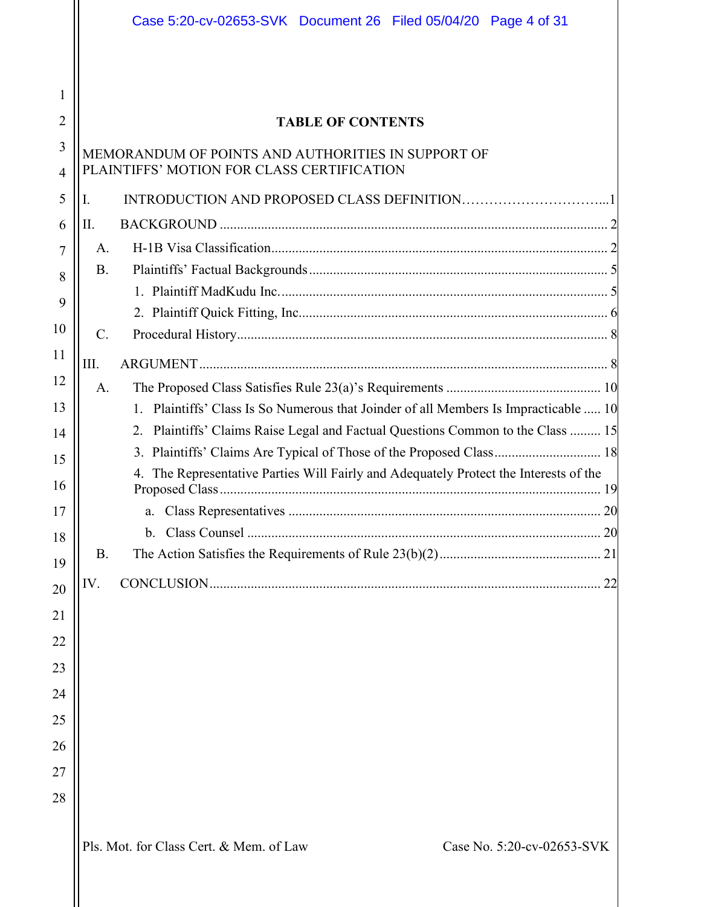|                | Case 5:20-cv-02653-SVK Document 26 Filed 05/04/20 Page 4 of 31                        |    |
|----------------|---------------------------------------------------------------------------------------|----|
|                |                                                                                       |    |
| 1              |                                                                                       |    |
| $\overline{2}$ | <b>TABLE OF CONTENTS</b>                                                              |    |
| 3              | MEMORANDUM OF POINTS AND AUTHORITIES IN SUPPORT OF                                    |    |
| $\overline{4}$ | PLAINTIFFS' MOTION FOR CLASS CERTIFICATION                                            |    |
| 5              | Ι.                                                                                    |    |
| 6              | II.                                                                                   |    |
| 7              | A.                                                                                    |    |
| 8              | <b>B.</b>                                                                             |    |
| 9              |                                                                                       |    |
| 10             | $\mathcal{C}$ .                                                                       |    |
| 11             | III.                                                                                  |    |
| 12             | A.                                                                                    |    |
| 13             | 1. Plaintiffs' Class Is So Numerous that Joinder of all Members Is Impracticable  10  |    |
| 14             | Plaintiffs' Claims Raise Legal and Factual Questions Common to the Class  15<br>2.    |    |
| 15             |                                                                                       |    |
| 16             | 4. The Representative Parties Will Fairly and Adequately Protect the Interests of the |    |
| 17             |                                                                                       | 20 |
| 18             |                                                                                       |    |
| 19             | <b>B.</b>                                                                             |    |
| 20             | IV.                                                                                   |    |
| 21             |                                                                                       |    |
| 22             |                                                                                       |    |
| 23             |                                                                                       |    |
| 24             |                                                                                       |    |
| 25             |                                                                                       |    |
| 26             |                                                                                       |    |
| 27             |                                                                                       |    |
| 28             |                                                                                       |    |
|                |                                                                                       |    |
|                | Pls. Mot. for Class Cert. & Mem. of Law<br>Case No. 5:20-cv-02653-SVK                 |    |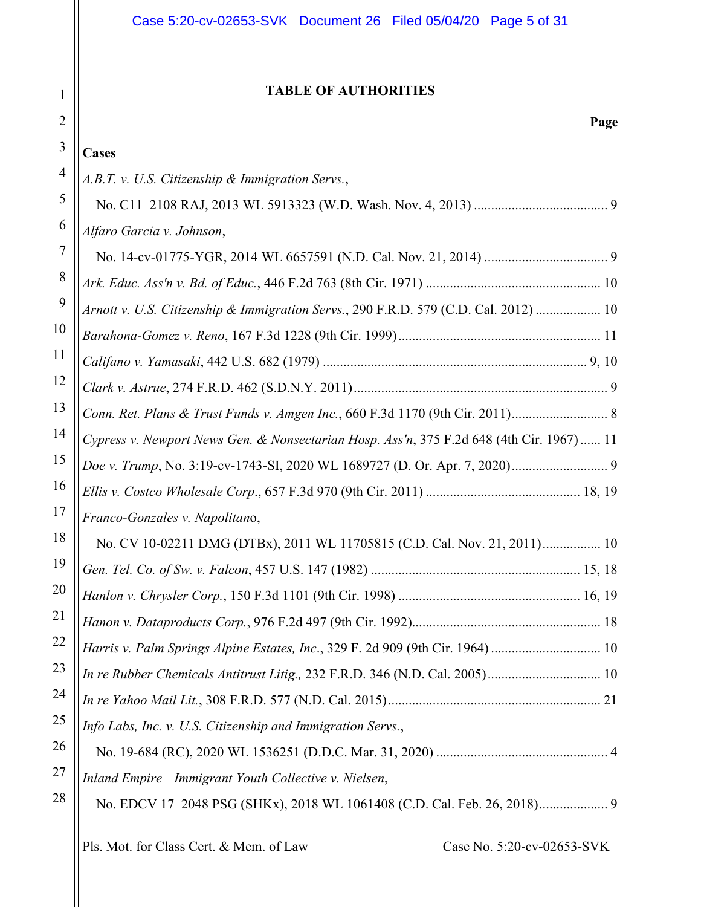# Case 5:20-cv-02653-SVK Document 26 Filed 05/04/20 Page 5 of 31

# **TABLE OF AUTHORITIES**

# 3 4 5 6 7 8 **Cases**

1

2

| 4  | A.B.T. v. U.S. Citizenship & Immigration Servs.,                                         |
|----|------------------------------------------------------------------------------------------|
| 5  |                                                                                          |
| 6  | Alfaro Garcia v. Johnson,                                                                |
| 7  |                                                                                          |
| 8  |                                                                                          |
| 9  | Arnott v. U.S. Citizenship & Immigration Servs., 290 F.R.D. 579 (C.D. Cal. 2012)  10     |
| 10 |                                                                                          |
| 11 |                                                                                          |
| 12 |                                                                                          |
| 13 |                                                                                          |
| 14 | Cypress v. Newport News Gen. & Nonsectarian Hosp. Ass'n, 375 F.2d 648 (4th Cir. 1967) 11 |
| 15 |                                                                                          |
| 16 |                                                                                          |
| 17 | Franco-Gonzales v. Napolitano,                                                           |
| 18 | No. CV 10-02211 DMG (DTBx), 2011 WL 11705815 (C.D. Cal. Nov. 21, 2011) 10                |
| 19 |                                                                                          |
| 20 |                                                                                          |
| 21 |                                                                                          |
| 22 | Harris v. Palm Springs Alpine Estates, Inc., 329 F. 2d 909 (9th Cir. 1964)  10           |
| 23 | In re Rubber Chemicals Antitrust Litig., 232 F.R.D. 346 (N.D. Cal. 2005) 10              |
| 24 |                                                                                          |
| 25 | Info Labs, Inc. v. U.S. Citizenship and Immigration Servs.,                              |
| 26 |                                                                                          |
| 27 | Inland Empire-Immigrant Youth Collective v. Nielsen,                                     |
| 28 |                                                                                          |
|    |                                                                                          |
|    |                                                                                          |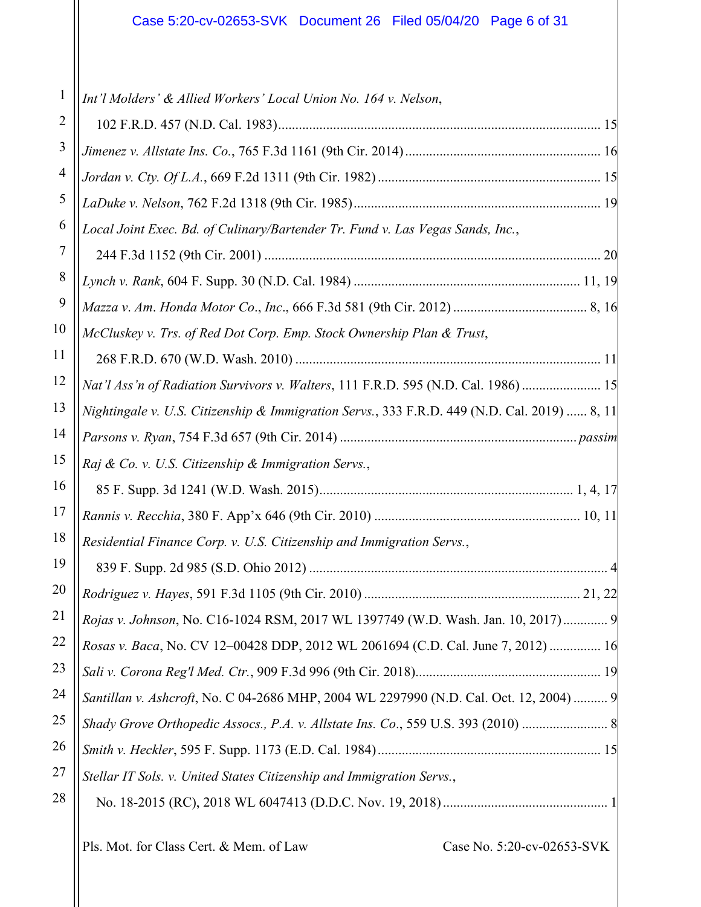| 1                    | Int'l Molders' & Allied Workers' Local Union No. 164 v. Nelson,                              |
|----------------------|----------------------------------------------------------------------------------------------|
| $\overline{2}$       |                                                                                              |
| 3                    |                                                                                              |
| 4                    |                                                                                              |
| 5                    |                                                                                              |
| 6                    | Local Joint Exec. Bd. of Culinary/Bartender Tr. Fund v. Las Vegas Sands, Inc.,               |
| 7                    |                                                                                              |
| 8                    |                                                                                              |
| 9                    |                                                                                              |
| 10                   | McCluskey v. Trs. of Red Dot Corp. Emp. Stock Ownership Plan & Trust,                        |
| 11                   |                                                                                              |
| 12                   | Nat'l Ass'n of Radiation Survivors v. Walters, 111 F.R.D. 595 (N.D. Cal. 1986)  15           |
| 13                   | Nightingale v. U.S. Citizenship & Immigration Servs., 333 F.R.D. 449 (N.D. Cal. 2019)  8, 11 |
| 14                   |                                                                                              |
| 15                   | Raj & Co. v. U.S. Citizenship & Immigration Servs.,                                          |
| 16                   |                                                                                              |
| 17                   |                                                                                              |
| 18                   | Residential Finance Corp. v. U.S. Citizenship and Immigration Servs.,                        |
| 19                   |                                                                                              |
| 20                   |                                                                                              |
| 21                   | Rojas v. Johnson, No. C16-1024 RSM, 2017 WL 1397749 (W.D. Wash. Jan. 10, 2017) 9             |
| 22                   | Rosas v. Baca, No. CV 12-00428 DDP, 2012 WL 2061694 (C.D. Cal. June 7, 2012)  16             |
| 23                   |                                                                                              |
|                      |                                                                                              |
|                      | Santillan v. Ashcroft, No. C 04-2686 MHP, 2004 WL 2297990 (N.D. Cal. Oct. 12, 2004)  9       |
|                      | Shady Grove Orthopedic Assocs., P.A. v. Allstate Ins. Co., 559 U.S. 393 (2010)  8            |
|                      |                                                                                              |
| 24<br>25<br>26<br>27 | Stellar IT Sols. v. United States Citizenship and Immigration Servs.,                        |
| 28                   |                                                                                              |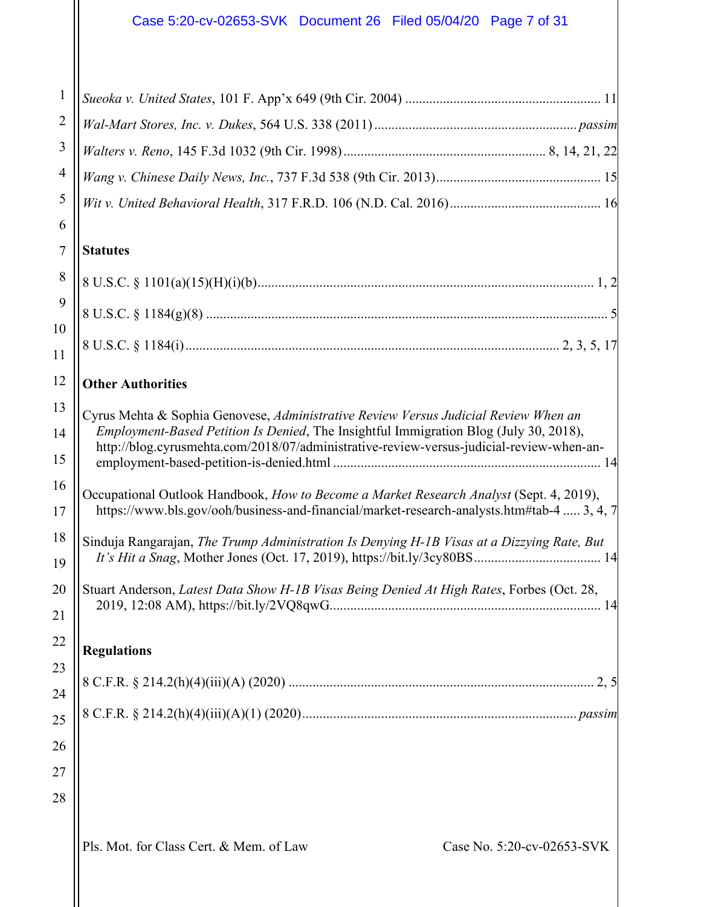| 1              |                                                                                                                                                                                      |
|----------------|--------------------------------------------------------------------------------------------------------------------------------------------------------------------------------------|
| $\overline{2}$ |                                                                                                                                                                                      |
| 3              |                                                                                                                                                                                      |
| 4              |                                                                                                                                                                                      |
| 5              |                                                                                                                                                                                      |
| 6              |                                                                                                                                                                                      |
| 7              | <b>Statutes</b>                                                                                                                                                                      |
| 8              |                                                                                                                                                                                      |
| 9              |                                                                                                                                                                                      |
| 10<br>11       |                                                                                                                                                                                      |
| 12             | <b>Other Authorities</b>                                                                                                                                                             |
| 13             |                                                                                                                                                                                      |
| 14             | Cyrus Mehta & Sophia Genovese, Administrative Review Versus Judicial Review When an<br><i>Employment-Based Petition Is Denied</i> , The Insightful Immigration Blog (July 30, 2018), |
| 15             | http://blog.cyrusmehta.com/2018/07/administrative-review-versus-judicial-review-when-an-                                                                                             |
| 16             | Occupational Outlook Handbook, How to Become a Market Research Analyst (Sept. 4, 2019),                                                                                              |
| 17             | https://www.bls.gov/ooh/business-and-financial/market-research-analysts.htm#tab-4  3, 4, 7                                                                                           |
| 18             | Sinduja Rangarajan, The Trump Administration Is Denying H-1B Visas at a Dizzying Rate, But                                                                                           |
| 19             |                                                                                                                                                                                      |
| 20             | Stuart Anderson, Latest Data Show H-1B Visas Being Denied At High Rates, Forbes (Oct. 28,                                                                                            |
| 21             |                                                                                                                                                                                      |
| 22             | <b>Regulations</b>                                                                                                                                                                   |
| 23             |                                                                                                                                                                                      |
| 24             |                                                                                                                                                                                      |
| 25             |                                                                                                                                                                                      |
| 26             |                                                                                                                                                                                      |
| 27             |                                                                                                                                                                                      |
| 28             |                                                                                                                                                                                      |
|                | Pls. Mot. for Class Cert. & Mem. of Law<br>Case No. 5:20-cv-02653-SVK                                                                                                                |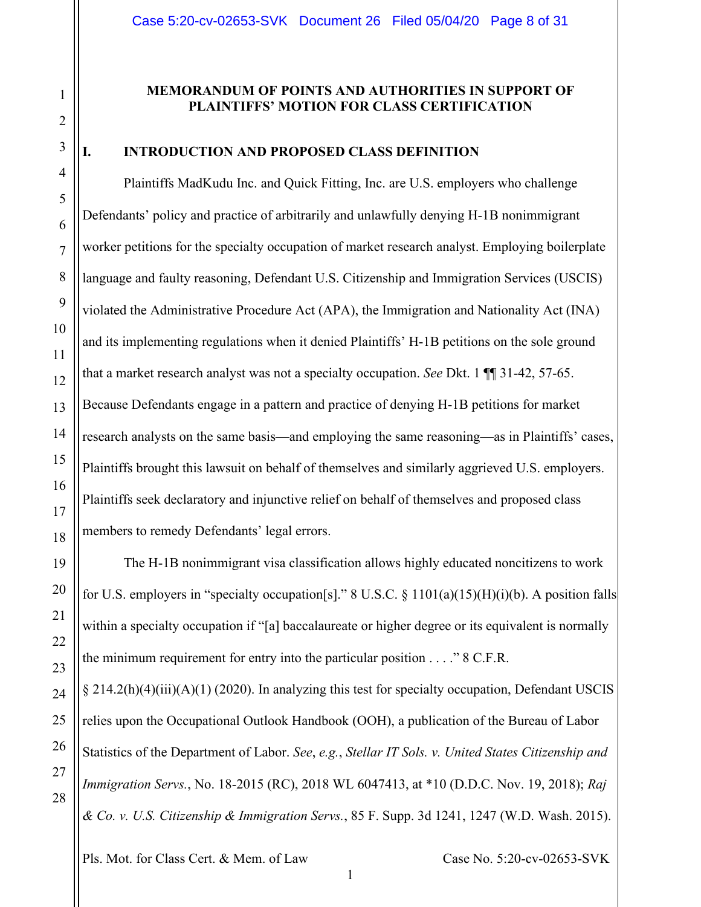#### **MEMORANDUM OF POINTS AND AUTHORITIES IN SUPPORT OF PLAINTIFFS' MOTION FOR CLASS CERTIFICATION**

#### <span id="page-7-0"></span>**I. INTRODUCTION AND PROPOSED CLASS DEFINITION**

Plaintiffs MadKudu Inc. and Quick Fitting, Inc. are U.S. employers who challenge Defendants' policy and practice of arbitrarily and unlawfully denying H-1B nonimmigrant worker petitions for the specialty occupation of market research analyst. Employing boilerplate language and faulty reasoning, Defendant U.S. Citizenship and Immigration Services (USCIS) violated the Administrative Procedure Act (APA), the Immigration and Nationality Act (INA) and its implementing regulations when it denied Plaintiffs' H-1B petitions on the sole ground that a market research analyst was not a specialty occupation. *See* Dkt. 1 ¶¶ 31-42, 57-65. Because Defendants engage in a pattern and practice of denying H-1B petitions for market research analysts on the same basis—and employing the same reasoning—as in Plaintiffs' cases, Plaintiffs brought this lawsuit on behalf of themselves and similarly aggrieved U.S. employers. Plaintiffs seek declaratory and injunctive relief on behalf of themselves and proposed class members to remedy Defendants' legal errors.

The H-1B nonimmigrant visa classification allows highly educated noncitizens to work for U.S. employers in "specialty occupation[s]." 8 U.S.C.  $\S$  1101(a)(15)(H)(i)(b). A position falls within a specialty occupation if "[a] baccalaureate or higher degree or its equivalent is normally the minimum requirement for entry into the particular position  $\ldots$  " 8 C.F.R.

§ 214.2(h)(4)(iii)(A)(1) (2020). In analyzing this test for specialty occupation, Defendant USCIS relies upon the Occupational Outlook Handbook (OOH), a publication of the Bureau of Labor Statistics of the Department of Labor. *See*, *e.g.*, *Stellar IT Sols. v. United States Citizenship and Immigration Servs.*, No. 18-2015 (RC), 2018 WL 6047413, at \*10 (D.D.C. Nov. 19, 2018); *Raj & Co. v. U.S. Citizenship & Immigration Servs.*, 85 F. Supp. 3d 1241, 1247 (W.D. Wash. 2015).

1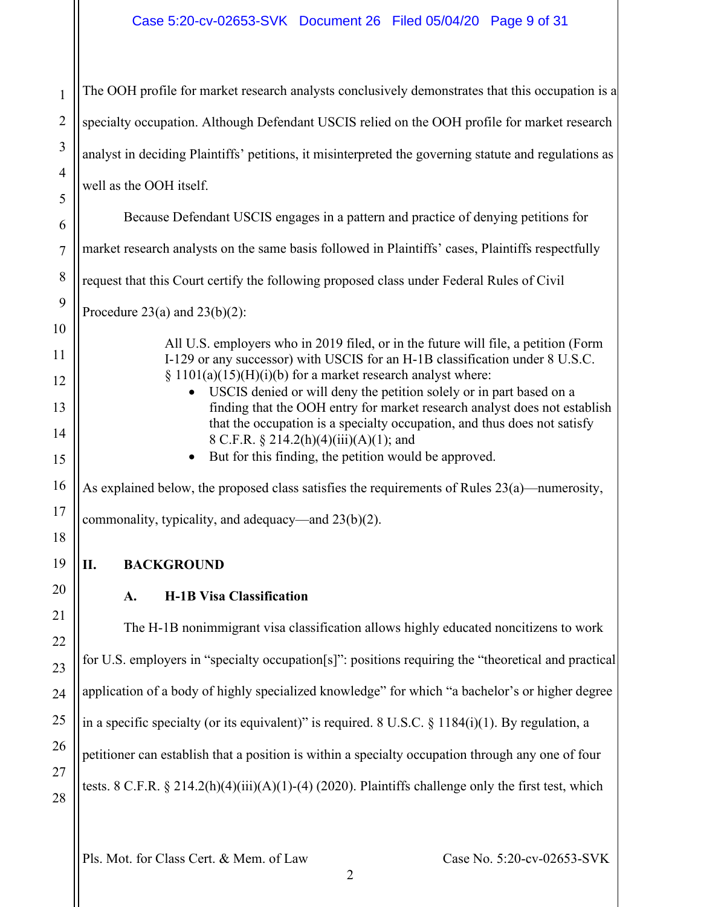# Case 5:20-cv-02653-SVK Document 26 Filed 05/04/20 Page 9 of 31

| $\mathbf{1}$        | The OOH profile for market research analysts conclusively demonstrates that this occupation is a                                                                                                             |
|---------------------|--------------------------------------------------------------------------------------------------------------------------------------------------------------------------------------------------------------|
| $\overline{2}$      | specialty occupation. Although Defendant USCIS relied on the OOH profile for market research                                                                                                                 |
| 3                   | analyst in deciding Plaintiffs' petitions, it misinterpreted the governing statute and regulations as                                                                                                        |
| $\overline{4}$<br>5 | well as the OOH itself.                                                                                                                                                                                      |
| 6                   | Because Defendant USCIS engages in a pattern and practice of denying petitions for                                                                                                                           |
| $\overline{7}$      | market research analysts on the same basis followed in Plaintiffs' cases, Plaintiffs respectfully                                                                                                            |
| 8                   | request that this Court certify the following proposed class under Federal Rules of Civil                                                                                                                    |
| 9                   | Procedure 23(a) and $23(b)(2)$ :                                                                                                                                                                             |
| 10                  | All U.S. employers who in 2019 filed, or in the future will file, a petition (Form                                                                                                                           |
| 11                  | I-129 or any successor) with USCIS for an H-1B classification under 8 U.S.C.<br>§ 1101(a)(15)(H)(i)(b) for a market research analyst where:                                                                  |
| 12<br>13            | USCIS denied or will deny the petition solely or in part based on a<br>$\bullet$<br>finding that the OOH entry for market research analyst does not establish                                                |
| 14                  | that the occupation is a specialty occupation, and thus does not satisfy<br>8 C.F.R. § 214.2(h)(4)(iii)(A)(1); and                                                                                           |
| 15                  | But for this finding, the petition would be approved.<br>٠                                                                                                                                                   |
| 16                  | As explained below, the proposed class satisfies the requirements of Rules 23(a)—numerosity,                                                                                                                 |
| 17<br>18            | commonality, typicality, and adequacy—and 23(b)(2).                                                                                                                                                          |
| 19                  | <b>BACKGROUND</b><br>П.                                                                                                                                                                                      |
| 20                  | <b>H-1B Visa Classification</b><br>A.                                                                                                                                                                        |
| 21                  | The H-1B nonimmigrant visa classification allows highly educated noncitizens to work                                                                                                                         |
| 22                  | for U.S. employers in "specialty occupation[s]": positions requiring the "theoretical and practical                                                                                                          |
| 23<br>24            | application of a body of highly specialized knowledge" for which "a bachelor's or higher degree                                                                                                              |
| 25                  | in a specific specialty (or its equivalent)" is required. 8 U.S.C. $\S$ 1184(i)(1). By regulation, a                                                                                                         |
| 26                  |                                                                                                                                                                                                              |
| 27<br>28            | petitioner can establish that a position is within a specialty occupation through any one of four<br>tests. 8 C.F.R. $\S 214.2(h)(4)(iii)(A)(1)-(4)(2020)$ . Plaintiffs challenge only the first test, which |
|                     |                                                                                                                                                                                                              |

<span id="page-8-1"></span><span id="page-8-0"></span>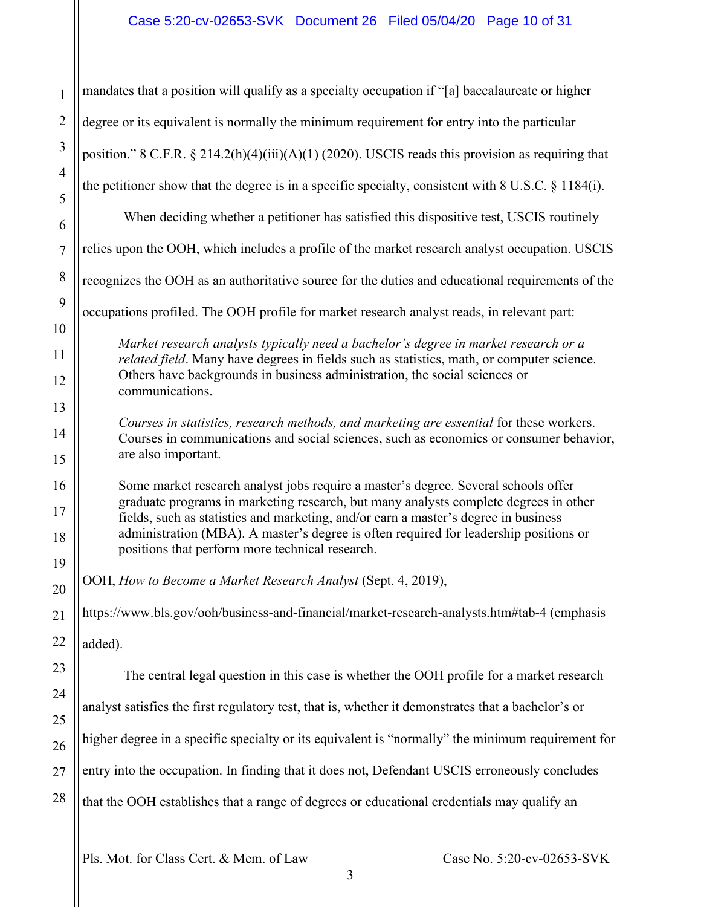| $\mathbf{1}$   | mandates that a position will qualify as a specialty occupation if "[a] baccalaureate or higher                                                                                   |  |  |
|----------------|-----------------------------------------------------------------------------------------------------------------------------------------------------------------------------------|--|--|
| $\overline{2}$ | degree or its equivalent is normally the minimum requirement for entry into the particular                                                                                        |  |  |
| 3              | position." 8 C.F.R. § 214.2(h)(4)(iii)(A)(1) (2020). USCIS reads this provision as requiring that                                                                                 |  |  |
| $\overline{4}$ | the petitioner show that the degree is in a specific specialty, consistent with $8 \text{ U.S.C. } \S 1184(i)$ .                                                                  |  |  |
| 5<br>6         | When deciding whether a petitioner has satisfied this dispositive test, USCIS routinely                                                                                           |  |  |
| $\overline{7}$ | relies upon the OOH, which includes a profile of the market research analyst occupation. USCIS                                                                                    |  |  |
| 8              | recognizes the OOH as an authoritative source for the duties and educational requirements of the                                                                                  |  |  |
| 9              | occupations profiled. The OOH profile for market research analyst reads, in relevant part:                                                                                        |  |  |
| 10             | Market research analysts typically need a bachelor's degree in market research or a                                                                                               |  |  |
| 11<br>12       | related field. Many have degrees in fields such as statistics, math, or computer science.<br>Others have backgrounds in business administration, the social sciences or           |  |  |
| 13             | communications.                                                                                                                                                                   |  |  |
| 14             | Courses in statistics, research methods, and marketing are essential for these workers.<br>Courses in communications and social sciences, such as economics or consumer behavior, |  |  |
| 15             | are also important.                                                                                                                                                               |  |  |
| 16             | Some market research analyst jobs require a master's degree. Several schools offer<br>graduate programs in marketing research, but many analysts complete degrees in other        |  |  |
| 17             | fields, such as statistics and marketing, and/or earn a master's degree in business<br>administration (MBA). A master's degree is often required for leadership positions or      |  |  |
| 18<br>19       | positions that perform more technical research.                                                                                                                                   |  |  |
| 20             | OOH, How to Become a Market Research Analyst (Sept. 4, 2019),                                                                                                                     |  |  |
| 21             | https://www.bls.gov/ooh/business-and-financial/market-research-analysts.htm#tab-4 (emphasis                                                                                       |  |  |
| 22             | added).                                                                                                                                                                           |  |  |
| 23             | The central legal question in this case is whether the OOH profile for a market research                                                                                          |  |  |
| 24             | analyst satisfies the first regulatory test, that is, whether it demonstrates that a bachelor's or                                                                                |  |  |
| 25<br>26       | higher degree in a specific specialty or its equivalent is "normally" the minimum requirement for                                                                                 |  |  |
| 27             | entry into the occupation. In finding that it does not, Defendant USCIS erroneously concludes                                                                                     |  |  |
| 28             | that the OOH establishes that a range of degrees or educational credentials may qualify an                                                                                        |  |  |
|                |                                                                                                                                                                                   |  |  |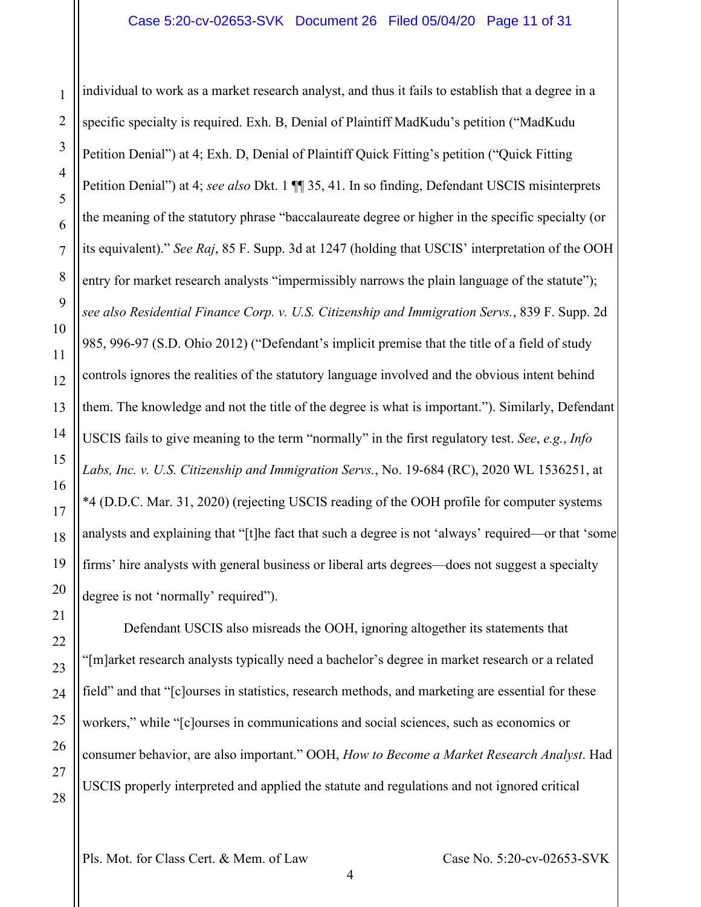individual to work as a market research analyst, and thus it fails to establish that a degree in a specific specialty is required. Exh. B, Denial of Plaintiff MadKudu's petition ("MadKudu Petition Denial") at 4; Exh. D, Denial of Plaintiff Quick Fitting's petition ("Quick Fitting Petition Denial") at 4; *see also* Dkt. 1 ¶¶ 35, 41. In so finding, Defendant USCIS misinterprets the meaning of the statutory phrase "baccalaureate degree or higher in the specific specialty (or its equivalent)." *See Raj*, 85 F. Supp. 3d at 1247 (holding that USCIS' interpretation of the OOH entry for market research analysts "impermissibly narrows the plain language of the statute"); *see also Residential Finance Corp. v. U.S. Citizenship and Immigration Servs.*, 839 F. Supp. 2d 985, 996-97 (S.D. Ohio 2012) ("Defendant's implicit premise that the title of a field of study controls ignores the realities of the statutory language involved and the obvious intent behind them. The knowledge and not the title of the degree is what is important."). Similarly, Defendant USCIS fails to give meaning to the term "normally" in the first regulatory test. *See*, *e.g.*, *Info Labs, Inc. v. U.S. Citizenship and Immigration Servs.*, No. 19-684 (RC), 2020 WL 1536251, at \*4 (D.D.C. Mar. 31, 2020) (rejecting USCIS reading of the OOH profile for computer systems analysts and explaining that "[t]he fact that such a degree is not 'always' required—or that 'some firms' hire analysts with general business or liberal arts degrees—does not suggest a specialty degree is not 'normally' required").

Defendant USCIS also misreads the OOH, ignoring altogether its statements that "[m]arket research analysts typically need a bachelor's degree in market research or a related field" and that "[c]ourses in statistics, research methods, and marketing are essential for these workers," while "[c]ourses in communications and social sciences, such as economics or consumer behavior, are also important." OOH, *How to Become a Market Research Analyst*. Had USCIS properly interpreted and applied the statute and regulations and not ignored critical

28

1

2

3

4

5

6

7

8

9

10

11

12

13

14

15

16

17

18

19

20

21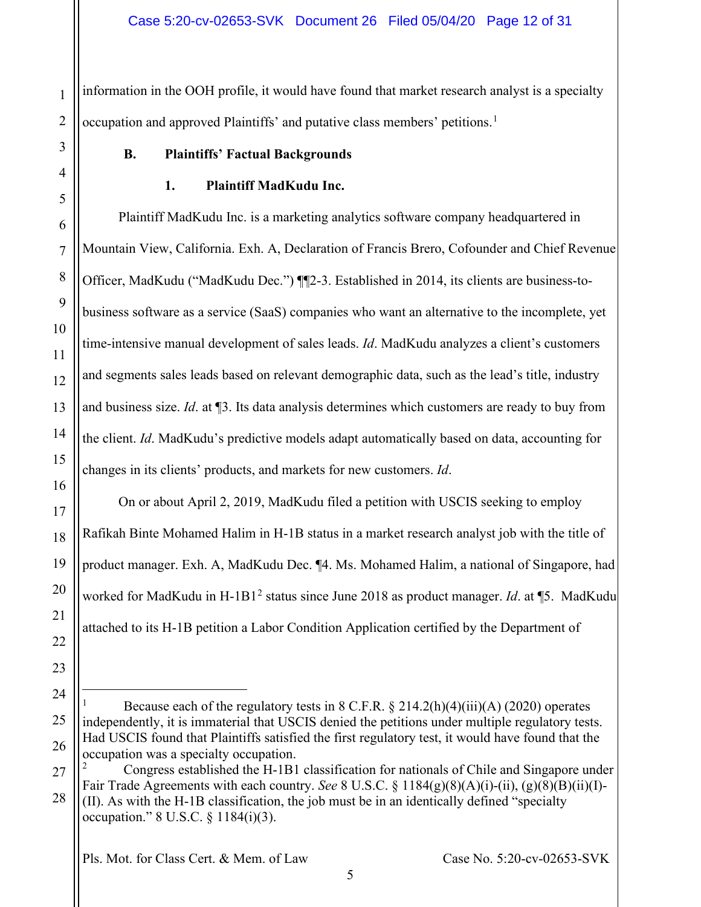1 2 information in the OOH profile, it would have found that market research analyst is a specialty occupation and approved Plaintiffs' and putative class members' petitions.<sup>[1](#page-11-2)</sup>

## **B. Plaintiffs' Factual Backgrounds**

<span id="page-11-0"></span>3

<span id="page-11-1"></span>4

5

6

7

8

9

10

11

12

13

14

15

16

17

18

19

20

21

22

23

<span id="page-11-2"></span>24

25

26

<span id="page-11-3"></span>27

28

## **1. Plaintiff MadKudu Inc.**

Plaintiff MadKudu Inc. is a marketing analytics software company headquartered in Mountain View, California. Exh. A, Declaration of Francis Brero, Cofounder and Chief Revenue Officer, MadKudu ("MadKudu Dec.") ¶¶2-3. Established in 2014, its clients are business-tobusiness software as a service (SaaS) companies who want an alternative to the incomplete, yet time-intensive manual development of sales leads. *Id*. MadKudu analyzes a client's customers and segments sales leads based on relevant demographic data, such as the lead's title, industry and business size. *Id*. at ¶3. Its data analysis determines which customers are ready to buy from the client. *Id*. MadKudu's predictive models adapt automatically based on data, accounting for changes in its clients' products, and markets for new customers. *Id*.

On or about April 2, 2019, MadKudu filed a petition with USCIS seeking to employ Rafikah Binte Mohamed Halim in H-1B status in a market research analyst job with the title of product manager. Exh. A, MadKudu Dec. ¶4. Ms. Mohamed Halim, a national of Singapore, had worked for MadKudu in H-1B1<sup>[2](#page-11-3)</sup> status since June 2018 as product manager. *Id.* at ¶5. MadKudu attached to its H-1B petition a Labor Condition Application certified by the Department of

Because each of the regulatory tests in  $8$  C.F.R.  $\S 214.2(h)(4)(iii)(A)$  (2020) operates independently, it is immaterial that USCIS denied the petitions under multiple regulatory tests. Had USCIS found that Plaintiffs satisfied the first regulatory test, it would have found that the occupation was a specialty occupation.

<sup>2</sup> Congress established the H-1B1 classification for nationals of Chile and Singapore under Fair Trade Agreements with each country. *See* 8 U.S.C. § 1184(g)(8)(A)(i)-(ii), (g)(8)(B)(ii)(I)-

<sup>(</sup>II). As with the H-1B classification, the job must be in an identically defined "specialty occupation." 8 U.S.C. § 1184(i)(3).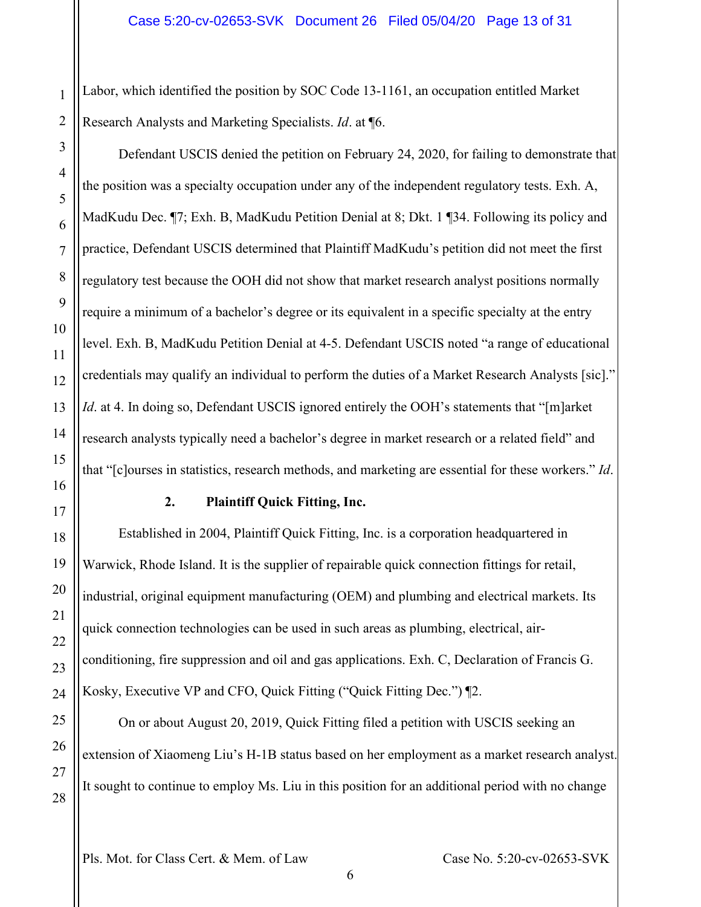Labor, which identified the position by SOC Code 13-1161, an occupation entitled Market Research Analysts and Marketing Specialists. *Id*. at ¶6.

Defendant USCIS denied the petition on February 24, 2020, for failing to demonstrate that the position was a specialty occupation under any of the independent regulatory tests. Exh. A, MadKudu Dec. ¶7; Exh. B, MadKudu Petition Denial at 8; Dkt. 1 ¶34. Following its policy and practice, Defendant USCIS determined that Plaintiff MadKudu's petition did not meet the first regulatory test because the OOH did not show that market research analyst positions normally require a minimum of a bachelor's degree or its equivalent in a specific specialty at the entry level. Exh. B, MadKudu Petition Denial at 4-5. Defendant USCIS noted "a range of educational credentials may qualify an individual to perform the duties of a Market Research Analysts [sic]." *Id.* at 4. In doing so, Defendant USCIS ignored entirely the OOH's statements that "[m]arket research analysts typically need a bachelor's degree in market research or a related field" and that "[c]ourses in statistics, research methods, and marketing are essential for these workers." *Id*.

#### **2. Plaintiff Quick Fitting, Inc.**

<span id="page-12-0"></span>Established in 2004, Plaintiff Quick Fitting, Inc. is a corporation headquartered in Warwick, Rhode Island. It is the supplier of repairable quick connection fittings for retail, industrial, original equipment manufacturing (OEM) and plumbing and electrical markets. Its quick connection technologies can be used in such areas as plumbing, electrical, airconditioning, fire suppression and oil and gas applications. Exh. C, Declaration of Francis G. Kosky, Executive VP and CFO, Quick Fitting ("Quick Fitting Dec.") ¶2.

On or about August 20, 2019, Quick Fitting filed a petition with USCIS seeking an extension of Xiaomeng Liu's H-1B status based on her employment as a market research analyst. It sought to continue to employ Ms. Liu in this position for an additional period with no change

1

2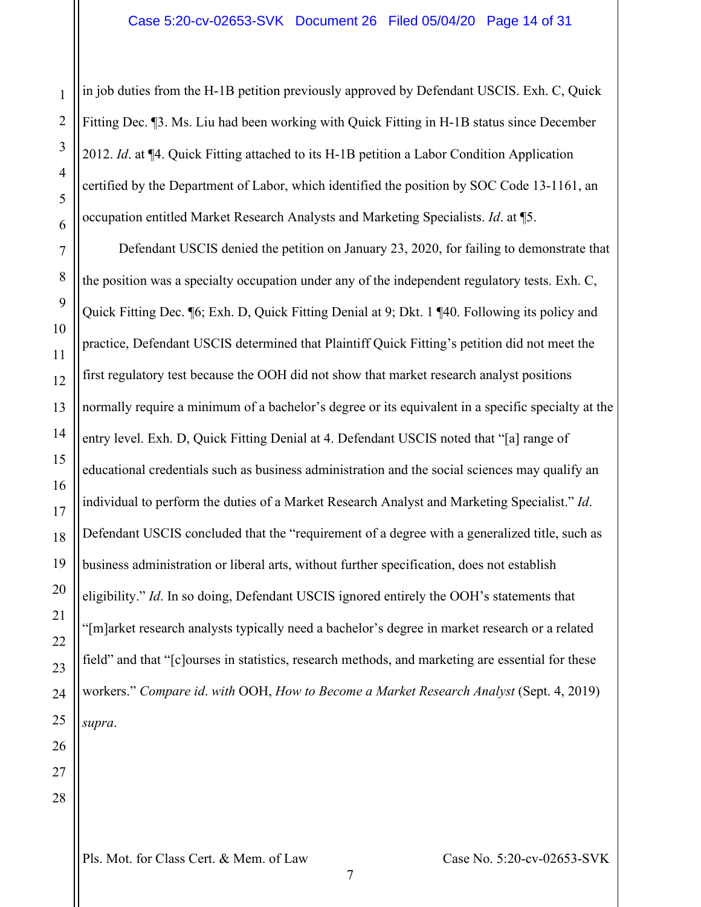in job duties from the H-1B petition previously approved by Defendant USCIS. Exh. C, Quick Fitting Dec. ¶3. Ms. Liu had been working with Quick Fitting in H-1B status since December 2012. *Id*. at ¶4. Quick Fitting attached to its H-1B petition a Labor Condition Application certified by the Department of Labor, which identified the position by SOC Code 13-1161, an occupation entitled Market Research Analysts and Marketing Specialists. *Id*. at ¶5.

Defendant USCIS denied the petition on January 23, 2020, for failing to demonstrate that the position was a specialty occupation under any of the independent regulatory tests. Exh. C, Quick Fitting Dec. ¶6; Exh. D, Quick Fitting Denial at 9; Dkt. 1 ¶40. Following its policy and practice, Defendant USCIS determined that Plaintiff Quick Fitting's petition did not meet the first regulatory test because the OOH did not show that market research analyst positions normally require a minimum of a bachelor's degree or its equivalent in a specific specialty at the entry level. Exh. D, Quick Fitting Denial at 4. Defendant USCIS noted that "[a] range of educational credentials such as business administration and the social sciences may qualify an individual to perform the duties of a Market Research Analyst and Marketing Specialist." *Id*. Defendant USCIS concluded that the "requirement of a degree with a generalized title, such as business administration or liberal arts, without further specification, does not establish eligibility." *Id*. In so doing, Defendant USCIS ignored entirely the OOH's statements that "[m]arket research analysts typically need a bachelor's degree in market research or a related field" and that "[c]ourses in statistics, research methods, and marketing are essential for these workers." *Compare id*. *with* OOH, *How to Become a Market Research Analyst* (Sept. 4, 2019) *supra*.

1

2

3

4

5

6

7

8

9

10

11

12

13

14

15

16

17

18

19

20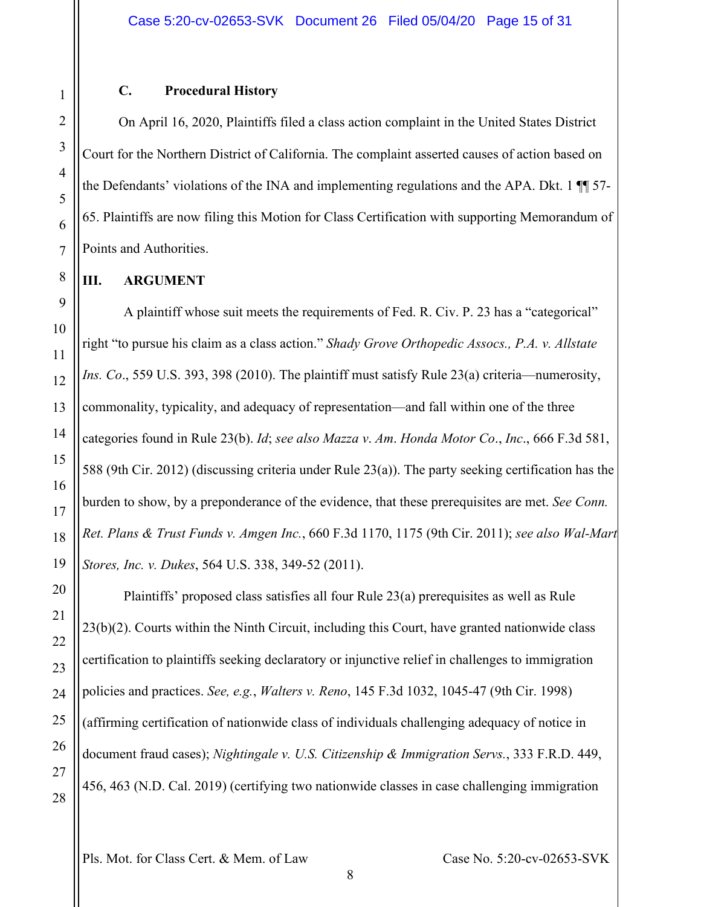#### **C. Procedural History**

<span id="page-14-0"></span>On April 16, 2020, Plaintiffs filed a class action complaint in the United States District Court for the Northern District of California. The complaint asserted causes of action based on the Defendants' violations of the INA and implementing regulations and the APA. Dkt. 1 ¶¶ 57- 65. Plaintiffs are now filing this Motion for Class Certification with supporting Memorandum of Points and Authorities.

#### <span id="page-14-1"></span>**III. ARGUMENT**

A plaintiff whose suit meets the requirements of Fed. R. Civ. P. 23 has a "categorical" right "to pursue his claim as a class action." *Shady Grove Orthopedic Assocs., P.A. v. Allstate Ins. Co*., 559 U.S. 393, 398 (2010). The plaintiff must satisfy Rule 23(a) criteria—numerosity, commonality, typicality, and adequacy of representation—and fall within one of the three categories found in Rule 23(b). *Id*; *see also Mazza v*. *Am*. *Honda Motor Co*., *Inc*., 666 F.3d 581, 588 (9th Cir. 2012) (discussing criteria under Rule 23(a)). The party seeking certification has the burden to show, by a preponderance of the evidence, that these prerequisites are met. *See Conn. Ret. Plans & Trust Funds v. Amgen Inc.*, 660 F.3d 1170, 1175 (9th Cir. 2011); *see also Wal-Mart Stores, Inc. v. Dukes*, 564 U.S. 338, 349-52 (2011).

Plaintiffs' proposed class satisfies all four Rule 23(a) prerequisites as well as Rule 23(b)(2). Courts within the Ninth Circuit, including this Court, have granted nationwide class certification to plaintiffs seeking declaratory or injunctive relief in challenges to immigration policies and practices. *See, e.g.*, *Walters v. Reno*, 145 F.3d 1032, 1045-47 (9th Cir. 1998) (affirming certification of nationwide class of individuals challenging adequacy of notice in document fraud cases); *Nightingale v. U.S. Citizenship & Immigration Servs.*, 333 F.R.D. 449, 456, 463 (N.D. Cal. 2019) (certifying two nationwide classes in case challenging immigration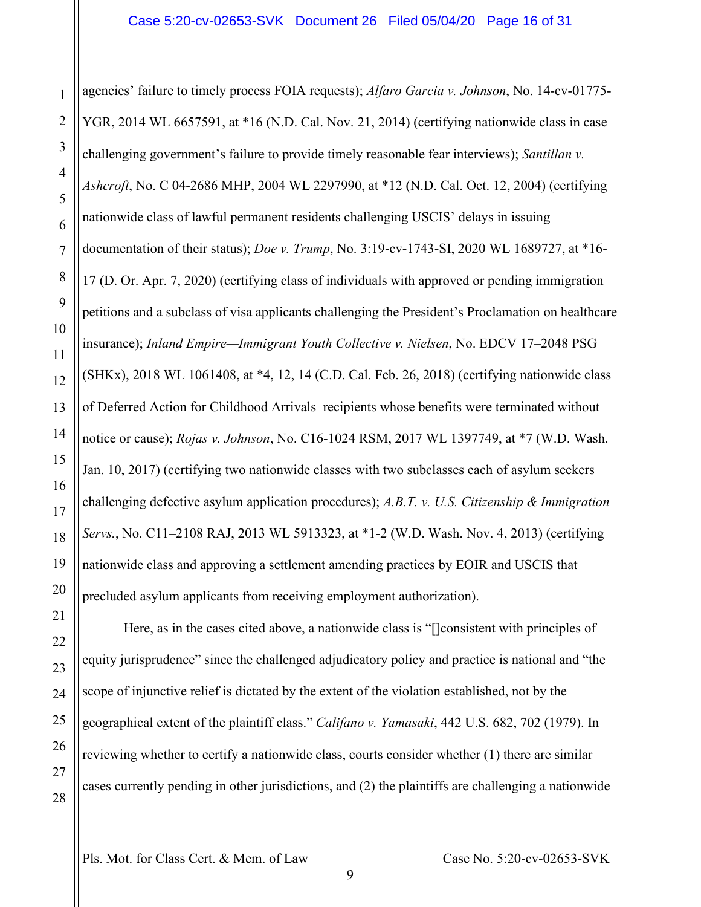agencies' failure to timely process FOIA requests); *Alfaro Garcia v. Johnson*, No. 14-cv-01775- YGR, 2014 WL 6657591, at \*16 (N.D. Cal. Nov. 21, 2014) (certifying nationwide class in case challenging government's failure to provide timely reasonable fear interviews); *Santillan v. Ashcroft*, No. C 04-2686 MHP, 2004 WL 2297990, at \*12 (N.D. Cal. Oct. 12, 2004) (certifying nationwide class of lawful permanent residents challenging USCIS' delays in issuing documentation of their status); *Doe v. Trump*, No. 3:19-cv-1743-SI, 2020 WL 1689727, at \*16- 17 (D. Or. Apr. 7, 2020) (certifying class of individuals with approved or pending immigration petitions and a subclass of visa applicants challenging the President's Proclamation on healthcare insurance); *Inland Empire—Immigrant Youth Collective v. Nielsen*, No. EDCV 17–2048 PSG (SHKx), 2018 WL 1061408, at \*4, 12, 14 (C.D. Cal. Feb. 26, 2018) (certifying nationwide class of Deferred Action for Childhood Arrivals recipients whose benefits were terminated without notice or cause); *Rojas v. Johnson*, No. C16-1024 RSM, 2017 WL 1397749, at \*7 (W.D. Wash. Jan. 10, 2017) (certifying two nationwide classes with two subclasses each of asylum seekers challenging defective asylum application procedures); *A.B.T. v. U.S. Citizenship & Immigration Servs.*, No. C11–2108 RAJ, 2013 WL 5913323, at \*1-2 (W.D. Wash. Nov. 4, 2013) (certifying nationwide class and approving a settlement amending practices by EOIR and USCIS that precluded asylum applicants from receiving employment authorization).

Here, as in the cases cited above, a nationwide class is "[]consistent with principles of equity jurisprudence" since the challenged adjudicatory policy and practice is national and "the scope of injunctive relief is dictated by the extent of the violation established, not by the geographical extent of the plaintiff class." *Califano v. Yamasaki*, 442 U.S. 682, 702 (1979). In reviewing whether to certify a nationwide class, courts consider whether (1) there are similar cases currently pending in other jurisdictions, and (2) the plaintiffs are challenging a nationwide

1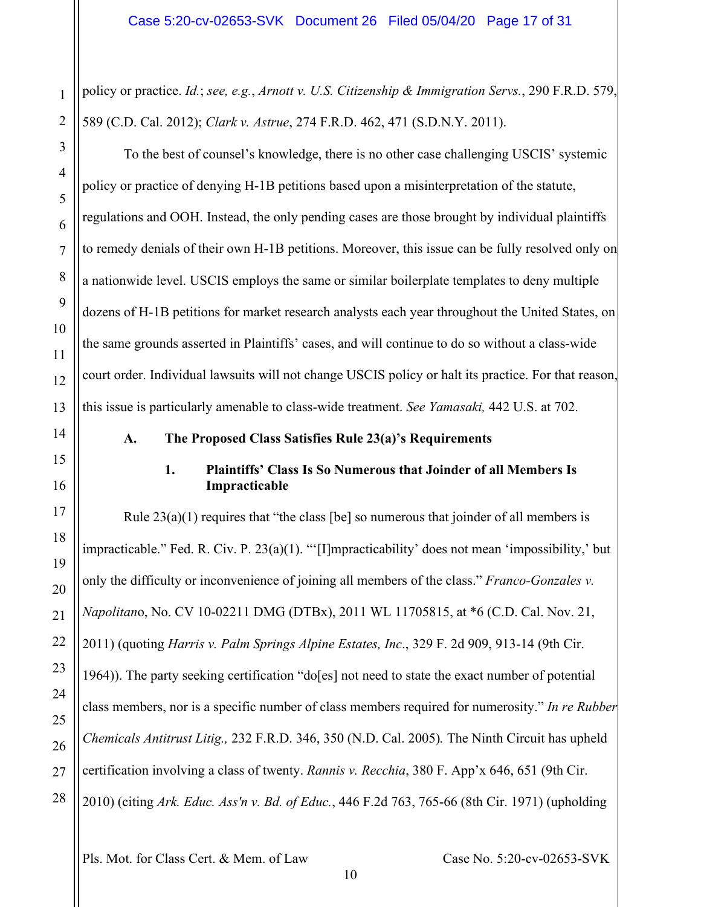policy or practice. *Id.*; *see, e.g.*, *Arnott v. U.S. Citizenship & Immigration Servs.*, 290 F.R.D. 579, 589 (C.D. Cal. 2012); *Clark v. Astrue*, 274 F.R.D. 462, 471 (S.D.N.Y. 2011).

To the best of counsel's knowledge, there is no other case challenging USCIS' systemic policy or practice of denying H-1B petitions based upon a misinterpretation of the statute, regulations and OOH. Instead, the only pending cases are those brought by individual plaintiffs to remedy denials of their own H-1B petitions. Moreover, this issue can be fully resolved only on a nationwide level. USCIS employs the same or similar boilerplate templates to deny multiple dozens of H-1B petitions for market research analysts each year throughout the United States, on the same grounds asserted in Plaintiffs' cases, and will continue to do so without a class-wide court order. Individual lawsuits will not change USCIS policy or halt its practice. For that reason, this issue is particularly amenable to class-wide treatment. *See Yamasaki,* 442 U.S. at 702.

#### <span id="page-16-0"></span>**A. The Proposed Class Satisfies Rule 23(a)'s Requirements**

### **1. Plaintiffs' Class Is So Numerous that Joinder of all Members Is Impracticable**

<span id="page-16-1"></span>Rule  $23(a)(1)$  requires that "the class [be] so numerous that joinder of all members is impracticable." Fed. R. Civ. P. 23(a)(1). "'[I]mpracticability' does not mean 'impossibility,' but only the difficulty or inconvenience of joining all members of the class." *Franco-Gonzales v. Napolitan*o, No. CV 10-02211 DMG (DTBx), 2011 WL 11705815, at \*6 (C.D. Cal. Nov. 21, 2011) (quoting *Harris v. Palm Springs Alpine Estates, Inc*., 329 F. 2d 909, 913-14 (9th Cir. 1964)). The party seeking certification "do[es] not need to state the exact number of potential class members, nor is a specific number of class members required for numerosity." *In re Rubber Chemicals Antitrust Litig.,* 232 F.R.D. 346, 350 (N.D. Cal. 2005)*.* The Ninth Circuit has upheld certification involving a class of twenty. *Rannis v. Recchia*, 380 F. App'x 646, 651 (9th Cir. 2010) (citing *Ark. Educ. Ass'n v. Bd. of Educ.*, 446 F.2d 763, 765-66 (8th Cir. 1971) (upholding

10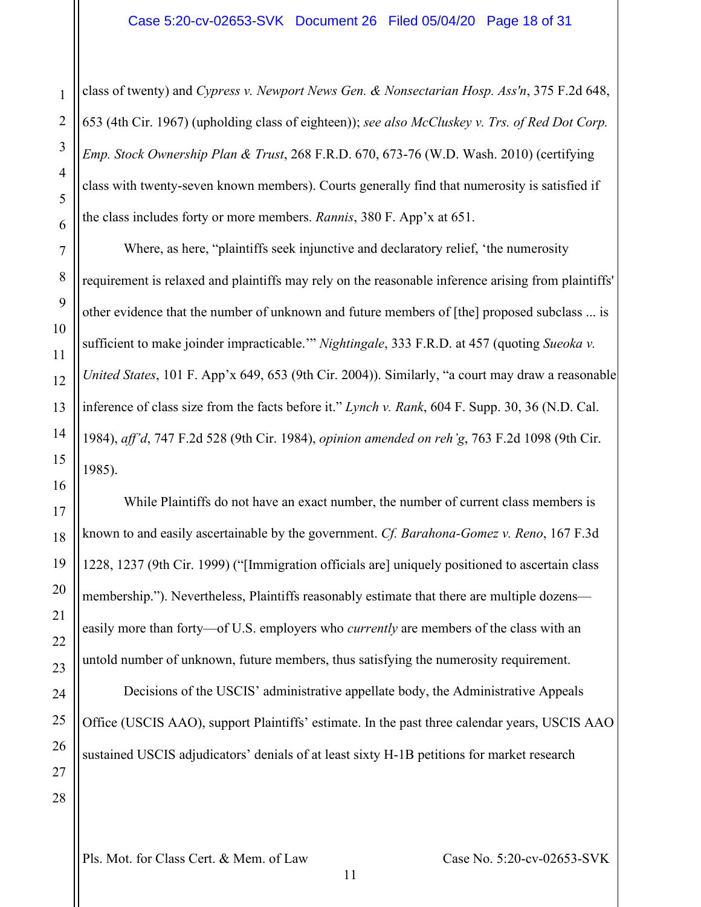class of twenty) and *Cypress v. Newport News Gen. & Nonsectarian Hosp. Ass'n*, 375 F.2d 648, 653 (4th Cir. 1967) (upholding class of eighteen)); *see also McCluskey v. Trs. of Red Dot Corp. Emp. Stock Ownership Plan & Trust*, 268 F.R.D. 670, 673-76 (W.D. Wash. 2010) (certifying class with twenty-seven known members). Courts generally find that numerosity is satisfied if the class includes forty or more members. *Rannis*, 380 F. App'x at 651.

Where, as here, "plaintiffs seek injunctive and declaratory relief, 'the numerosity requirement is relaxed and plaintiffs may rely on the reasonable inference arising from plaintiffs' other evidence that the number of unknown and future members of [the] proposed subclass ... is sufficient to make joinder impracticable.'" *Nightingale*, 333 F.R.D. at 457 (quoting *Sueoka v. United States*, 101 F. App'x 649, 653 (9th Cir. 2004)). Similarly, "a court may draw a reasonable inference of class size from the facts before it." *Lynch v. Rank*, 604 F. Supp. 30, 36 (N.D. Cal. 1984), *aff'd*, 747 F.2d 528 (9th Cir. 1984), *opinion amended on reh'g*, 763 F.2d 1098 (9th Cir. 1985).

While Plaintiffs do not have an exact number, the number of current class members is known to and easily ascertainable by the government. *Cf. Barahona-Gomez v. Reno*, 167 F.3d 1228, 1237 (9th Cir. 1999) ("[Immigration officials are] uniquely positioned to ascertain class membership."). Nevertheless, Plaintiffs reasonably estimate that there are multiple dozens easily more than forty—of U.S. employers who *currently* are members of the class with an untold number of unknown, future members, thus satisfying the numerosity requirement.

Decisions of the USCIS' administrative appellate body, the Administrative Appeals Office (USCIS AAO), support Plaintiffs' estimate. In the past three calendar years, USCIS AAO sustained USCIS adjudicators' denials of at least sixty H-1B petitions for market research

1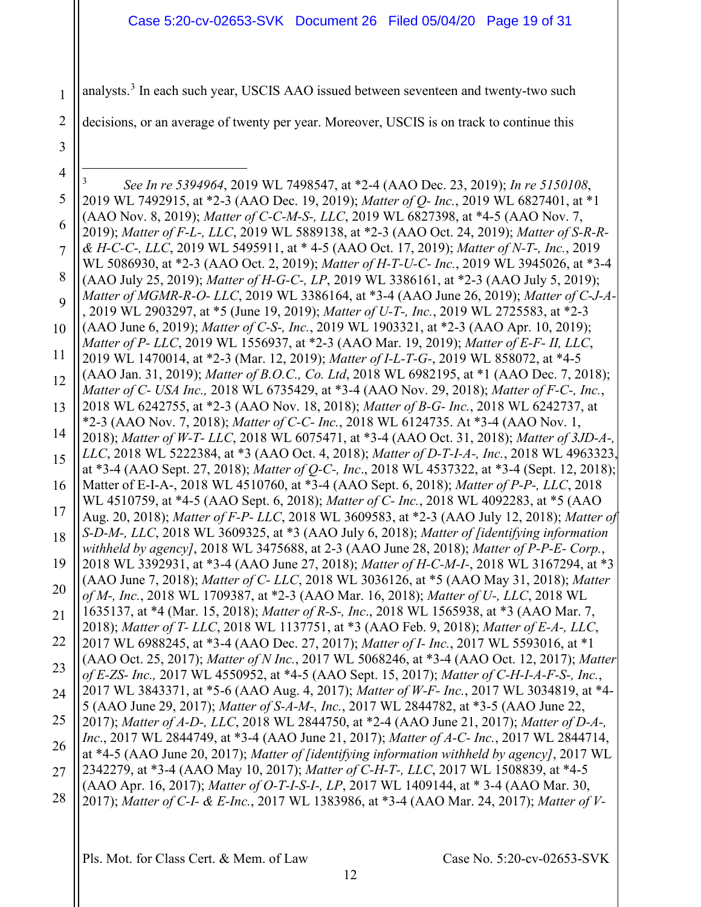<span id="page-18-0"></span>1 2 3 4 5 6 7 8 9 10 11 12 13 14 15 16 17 18 19 20 21 22 analysts.<sup>[3](#page-18-0)</sup> In each such year, USCIS AAO issued between seventeen and twenty-two such decisions, or an average of twenty per year. Moreover, USCIS is on track to continue this 3 *See In re 5394964*, 2019 WL 7498547, at \*2-4 (AAO Dec. 23, 2019); *In re 5150108*, 2019 WL 7492915, at \*2-3 (AAO Dec. 19, 2019); *Matter of Q- Inc.*, 2019 WL 6827401, at \*1 (AAO Nov. 8, 2019); *Matter of C-C-M-S-, LLC*, 2019 WL 6827398, at \*4-5 (AAO Nov. 7, 2019); *Matter of F-L-, LLC*, 2019 WL 5889138, at \*2-3 (AAO Oct. 24, 2019); *Matter of S-R-R- & H-C-C-, LLC*, 2019 WL 5495911, at \* 4-5 (AAO Oct. 17, 2019); *Matter of N-T-, Inc.*, 2019 WL 5086930, at \*2-3 (AAO Oct. 2, 2019); *Matter of H-T-U-C- Inc.*, 2019 WL 3945026, at \*3-4 (AAO July 25, 2019); *Matter of H-G-C-, LP*, 2019 WL 3386161, at \*2-3 (AAO July 5, 2019); *Matter of MGMR-R-O- LLC*, 2019 WL 3386164, at \*3-4 (AAO June 26, 2019); *Matter of C-J-A-* , 2019 WL 2903297, at \*5 (June 19, 2019); *Matter of U-T-, Inc.*, 2019 WL 2725583, at \*2-3 (AAO June 6, 2019); *Matter of C-S-, Inc.*, 2019 WL 1903321, at \*2-3 (AAO Apr. 10, 2019); *Matter of P- LLC*, 2019 WL 1556937, at \*2-3 (AAO Mar. 19, 2019); *Matter of E-F- II, LLC*, 2019 WL 1470014, at \*2-3 (Mar. 12, 2019); *Matter of I-L-T-G-*, 2019 WL 858072, at \*4-5 (AAO Jan. 31, 2019); *Matter of B.O.C., Co. Ltd*, 2018 WL 6982195, at \*1 (AAO Dec. 7, 2018); *Matter of C- USA Inc.,* 2018 WL 6735429, at \*3-4 (AAO Nov. 29, 2018); *Matter of F-C-, Inc.*, 2018 WL 6242755, at \*2-3 (AAO Nov. 18, 2018); *Matter of B-G- Inc.*, 2018 WL 6242737, at \*2-3 (AAO Nov. 7, 2018); *Matter of C-C- Inc.*, 2018 WL 6124735. At \*3-4 (AAO Nov. 1, 2018); *Matter of W-T- LLC*, 2018 WL 6075471, at \*3-4 (AAO Oct. 31, 2018); *Matter of 3JD-A-, LLC*, 2018 WL 5222384, at \*3 (AAO Oct. 4, 2018); *Matter of D-T-I-A-, Inc.*, 2018 WL 4963323, at \*3-4 (AAO Sept. 27, 2018); *Matter of Q-C-, Inc*., 2018 WL 4537322, at \*3-4 (Sept. 12, 2018); Matter of E-I-A-, 2018 WL 4510760, at \*3-4 (AAO Sept. 6, 2018); *Matter of P-P-, LLC*, 2018 WL 4510759, at \*4-5 (AAO Sept. 6, 2018); *Matter of C- Inc.*, 2018 WL 4092283, at \*5 (AAO Aug. 20, 2018); *Matter of F-P- LLC*, 2018 WL 3609583, at \*2-3 (AAO July 12, 2018); *Matter of S-D-M-, LLC*, 2018 WL 3609325, at \*3 (AAO July 6, 2018); *Matter of [identifying information withheld by agency]*, 2018 WL 3475688, at 2-3 (AAO June 28, 2018); *Matter of P-P-E- Corp.*, 2018 WL 3392931, at \*3-4 (AAO June 27, 2018); *Matter of H-C-M-I-*, 2018 WL 3167294, at \*3 (AAO June 7, 2018); *Matter of C- LLC*, 2018 WL 3036126, at \*5 (AAO May 31, 2018); *Matter of M-, Inc.*, 2018 WL 1709387, at \*2-3 (AAO Mar. 16, 2018); *Matter of U-, LLC*, 2018 WL 1635137, at \*4 (Mar. 15, 2018); *Matter of R-S-, Inc*., 2018 WL 1565938, at \*3 (AAO Mar. 7, 2018); *Matter of T- LLC*, 2018 WL 1137751, at \*3 (AAO Feb. 9, 2018); *Matter of E-A-, LLC*, 2017 WL 6988245, at \*3-4 (AAO Dec. 27, 2017); *Matter of I- Inc.*, 2017 WL 5593016, at \*1 (AAO Oct. 25, 2017); *Matter of N Inc.*, 2017 WL 5068246, at \*3-4 (AAO Oct. 12, 2017); *Matter*  Case 5:20-cv-02653-SVK Document 26 Filed 05/04/20 Page 19 of 31

- 23 24 *of E-ZS- Inc.,* 2017 WL 4550952, at \*4-5 (AAO Sept. 15, 2017); *Matter of C-H-I-A-F-S-, Inc.*, 2017 WL 3843371, at \*5-6 (AAO Aug. 4, 2017); *Matter of W-F- Inc.*, 2017 WL 3034819, at \*4- 5 (AAO June 29, 2017); *Matter of S-A-M-, Inc.*, 2017 WL 2844782, at \*3-5 (AAO June 22,
- 25 26 2017); *Matter of A-D-, LLC*, 2018 WL 2844750, at \*2-4 (AAO June 21, 2017); *Matter of D-A-, Inc*., 2017 WL 2844749, at \*3-4 (AAO June 21, 2017); *Matter of A-C- Inc.*, 2017 WL 2844714,
- 27 at \*4-5 (AAO June 20, 2017); *Matter of [identifying information withheld by agency]*, 2017 WL 2342279, at \*3-4 (AAO May 10, 2017); *Matter of C-H-T-, LLC*, 2017 WL 1508839, at \*4-5
- 28 (AAO Apr. 16, 2017); *Matter of O-T-I-S-I-, LP*, 2017 WL 1409144, at \* 3-4 (AAO Mar. 30, 2017); *Matter of C-I- & E-Inc.*, 2017 WL 1383986, at \*3-4 (AAO Mar. 24, 2017); *Matter of V-*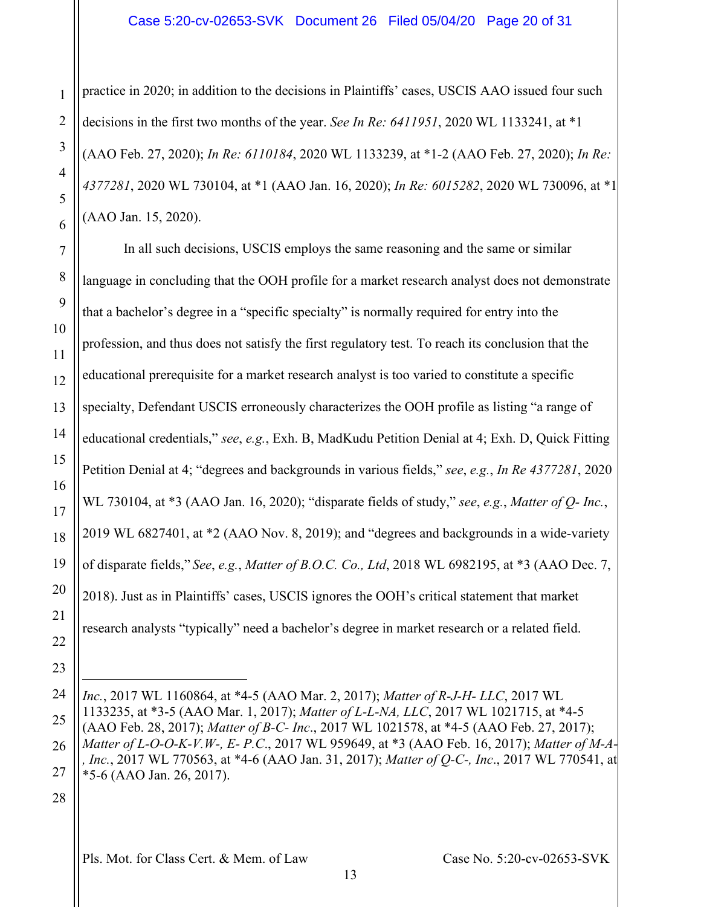#### Case 5:20-cv-02653-SVK Document 26 Filed 05/04/20 Page 20 of 31

practice in 2020; in addition to the decisions in Plaintiffs' cases, USCIS AAO issued four such decisions in the first two months of the year. *See In Re: 6411951*, 2020 WL 1133241, at \*1 (AAO Feb. 27, 2020); *In Re: 6110184*, 2020 WL 1133239, at \*1-2 (AAO Feb. 27, 2020); *In Re: 4377281*, 2020 WL 730104, at \*1 (AAO Jan. 16, 2020); *In Re: 6015282*, 2020 WL 730096, at \*1 (AAO Jan. 15, 2020).

In all such decisions, USCIS employs the same reasoning and the same or similar language in concluding that the OOH profile for a market research analyst does not demonstrate that a bachelor's degree in a "specific specialty" is normally required for entry into the profession, and thus does not satisfy the first regulatory test. To reach its conclusion that the educational prerequisite for a market research analyst is too varied to constitute a specific specialty, Defendant USCIS erroneously characterizes the OOH profile as listing "a range of educational credentials," *see*, *e.g.*, Exh. B, MadKudu Petition Denial at 4; Exh. D, Quick Fitting Petition Denial at 4; "degrees and backgrounds in various fields," *see*, *e.g.*, *In Re 4377281*, 2020 WL 730104, at \*3 (AAO Jan. 16, 2020); "disparate fields of study," *see*, *e.g.*, *Matter of Q- Inc.*, 2019 WL 6827401, at \*2 (AAO Nov. 8, 2019); and "degrees and backgrounds in a wide-variety of disparate fields," *See*, *e.g.*, *Matter of B.O.C. Co., Ltd*, 2018 WL 6982195, at \*3 (AAO Dec. 7, 2018). Just as in Plaintiffs' cases, USCIS ignores the OOH's critical statement that market research analysts "typically" need a bachelor's degree in market research or a related field.

28

1

2

3

4

5

6

7

8

9

10

11

12

13

14

15

16

17

18

19

20

21

22

23

24

25

26

27

*Inc.*, 2017 WL 1160864, at \*4-5 (AAO Mar. 2, 2017); *Matter of R-J-H- LLC*, 2017 WL 1133235, at \*3-5 (AAO Mar. 1, 2017); *Matter of L-L-NA, LLC*, 2017 WL 1021715, at \*4-5 (AAO Feb. 28, 2017); *Matter of B-C- Inc*., 2017 WL 1021578, at \*4-5 (AAO Feb. 27, 2017); *Matter of L-O-O-K-V.W-, E- P.C*., 2017 WL 959649, at \*3 (AAO Feb. 16, 2017); *Matter of M-A- , Inc.*, 2017 WL 770563, at \*4-6 (AAO Jan. 31, 2017); *Matter of Q-C-, Inc*., 2017 WL 770541, at \*5-6 (AAO Jan. 26, 2017).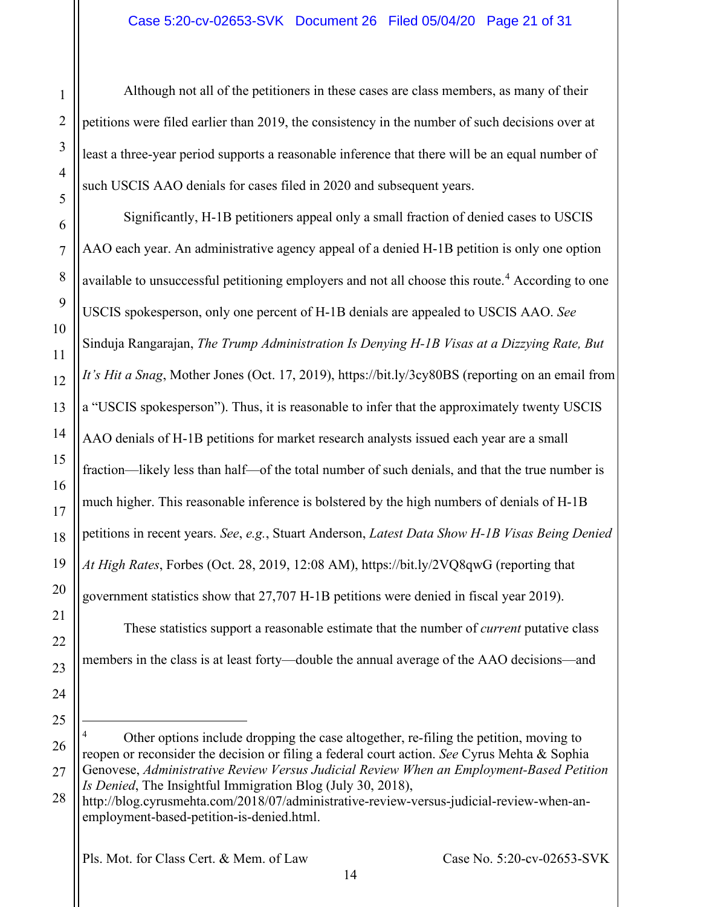Although not all of the petitioners in these cases are class members, as many of their petitions were filed earlier than 2019, the consistency in the number of such decisions over at least a three-year period supports a reasonable inference that there will be an equal number of such USCIS AAO denials for cases filed in 2020 and subsequent years.

1

2

3

4

5

6

7

8

9

10

11

12

13

14

15

16

17

18

19

20

21

22

23

24

25

Significantly, H-1B petitioners appeal only a small fraction of denied cases to USCIS AAO each year. An administrative agency appeal of a denied H-1B petition is only one option available to unsuccessful petitioning employers and not all choose this route.<sup>[4](#page-20-0)</sup> According to one USCIS spokesperson, only one percent of H-1B denials are appealed to USCIS AAO. *See* Sinduja Rangarajan, *The Trump Administration Is Denying H-1B Visas at a Dizzying Rate, But It's Hit a Snag*, Mother Jones (Oct. 17, 2019), https://bit.ly/3cy80BS (reporting on an email from a "USCIS spokesperson"). Thus, it is reasonable to infer that the approximately twenty USCIS AAO denials of H-1B petitions for market research analysts issued each year are a small fraction—likely less than half—of the total number of such denials, and that the true number is much higher. This reasonable inference is bolstered by the high numbers of denials of H-1B petitions in recent years. *See*, *e.g.*, Stuart Anderson, *Latest Data Show H-1B Visas Being Denied At High Rates*, Forbes (Oct. 28, 2019, 12:08 AM), https://bit.ly/2VQ8qwG (reporting that government statistics show that 27,707 H-1B petitions were denied in fiscal year 2019).

These statistics support a reasonable estimate that the number of *current* putative class members in the class is at least forty—double the annual average of the AAO decisions—and

<span id="page-20-0"></span><sup>26</sup> 27 Other options include dropping the case altogether, re-filing the petition, moving to reopen or reconsider the decision or filing a federal court action. *See* Cyrus Mehta & Sophia Genovese, *Administrative Review Versus Judicial Review When an Employment-Based Petition Is Denied*, The Insightful Immigration Blog (July 30, 2018),

<sup>28</sup> http://blog.cyrusmehta.com/2018/07/administrative-review-versus-judicial-review-when-anemployment-based-petition-is-denied.html.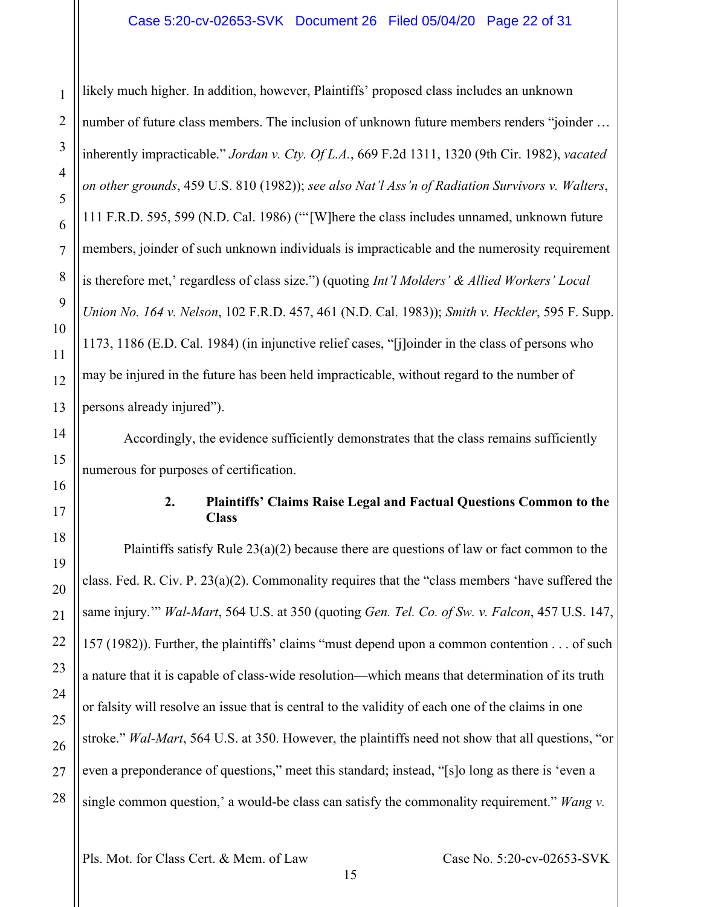#### Case 5:20-cv-02653-SVK Document 26 Filed 05/04/20 Page 22 of 31

likely much higher. In addition, however, Plaintiffs' proposed class includes an unknown number of future class members. The inclusion of unknown future members renders "joinder … inherently impracticable." *Jordan v. Cty. Of L.A.*, 669 F.2d 1311, 1320 (9th Cir. 1982), *vacated on other grounds*, 459 U.S. 810 (1982)); *see also Nat'l Ass'n of Radiation Survivors v. Walters*, 111 F.R.D. 595, 599 (N.D. Cal. 1986) ("'[W]here the class includes unnamed, unknown future members, joinder of such unknown individuals is impracticable and the numerosity requirement is therefore met,' regardless of class size.") (quoting *Int'l Molders' & Allied Workers' Local Union No. 164 v. Nelson*, 102 F.R.D. 457, 461 (N.D. Cal. 1983)); *Smith v. Heckler*, 595 F. Supp. 1173, 1186 (E.D. Cal. 1984) (in injunctive relief cases, "[j]oinder in the class of persons who may be injured in the future has been held impracticable, without regard to the number of persons already injured").

Accordingly, the evidence sufficiently demonstrates that the class remains sufficiently numerous for purposes of certification.

#### **2. Plaintiffs' Claims Raise Legal and Factual Questions Common to the Class**

Plaintiffs satisfy Rule 23(a)(2) because there are questions of law or fact common to the class. Fed. R. Civ. P. 23(a)(2). Commonality requires that the "class members 'have suffered the same injury.'" *Wal-Mart*, 564 U.S. at 350 (quoting *Gen. Tel. Co. of Sw. v. Falcon*, 457 U.S. 147, 157 (1982)). Further, the plaintiffs' claims "must depend upon a common contention . . . of such a nature that it is capable of class-wide resolution—which means that determination of its truth or falsity will resolve an issue that is central to the validity of each one of the claims in one stroke." *Wal-Mart*, 564 U.S. at 350. However, the plaintiffs need not show that all questions, "or even a preponderance of questions," meet this standard; instead, "[s]o long as there is 'even a single common question,' a would-be class can satisfy the commonality requirement." *Wang v.* 

Pls. Mot. for Class Cert. & Mem. of Law Case No. 5:20-cv-02653-SVK

1

2

3

4

5

6

7

8

9

10

11

12

13

14

15

16

<span id="page-21-0"></span>17

18

19

20

21

22

23

24

25

26

27

28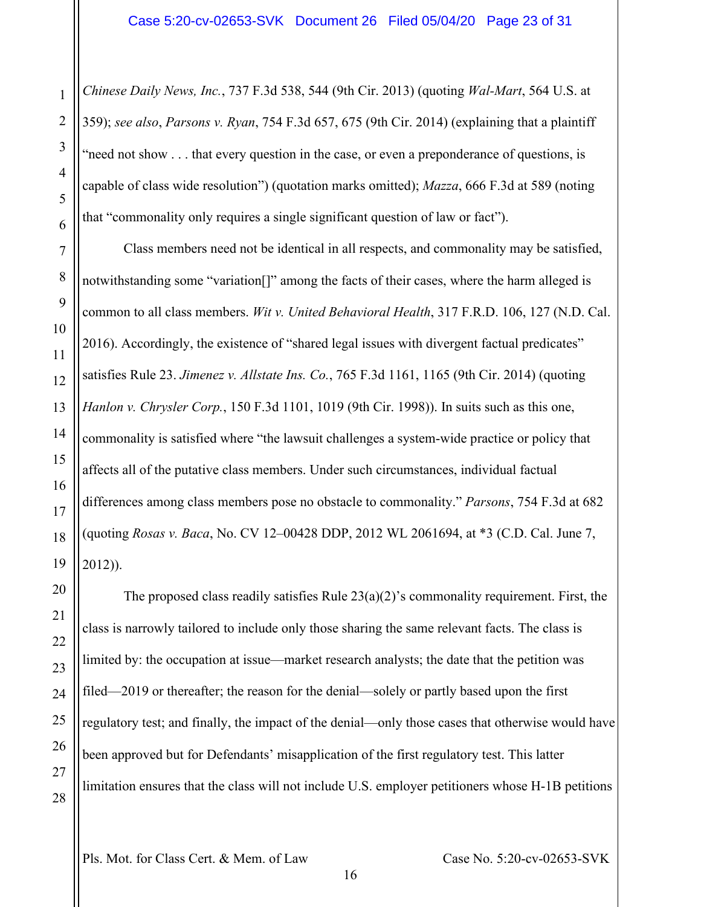*Chinese Daily News, Inc.*, 737 F.3d 538, 544 (9th Cir. 2013) (quoting *Wal-Mart*, 564 U.S. at 359); *see also*, *Parsons v. Ryan*, 754 F.3d 657, 675 (9th Cir. 2014) (explaining that a plaintiff "need not show . . . that every question in the case, or even a preponderance of questions, is capable of class wide resolution") (quotation marks omitted); *Mazza*, 666 F.3d at 589 (noting that "commonality only requires a single significant question of law or fact").

Class members need not be identical in all respects, and commonality may be satisfied, notwithstanding some "variation[]" among the facts of their cases, where the harm alleged is common to all class members. *Wit v. United Behavioral Health*, 317 F.R.D. 106, 127 (N.D. Cal. 2016). Accordingly, the existence of "shared legal issues with divergent factual predicates" satisfies Rule 23. *Jimenez v. Allstate Ins. Co.*, 765 F.3d 1161, 1165 (9th Cir. 2014) (quoting *Hanlon v. Chrysler Corp.*, 150 F.3d 1101, 1019 (9th Cir. 1998)). In suits such as this one, commonality is satisfied where "the lawsuit challenges a system-wide practice or policy that affects all of the putative class members. Under such circumstances, individual factual differences among class members pose no obstacle to commonality." *Parsons*, 754 F.3d at 682 (quoting *Rosas v. Baca*, No. CV 12–00428 DDP, 2012 WL 2061694, at \*3 (C.D. Cal. June 7, 2012)).

The proposed class readily satisfies Rule  $23(a)(2)$ 's commonality requirement. First, the class is narrowly tailored to include only those sharing the same relevant facts. The class is limited by: the occupation at issue—market research analysts; the date that the petition was filed—2019 or thereafter; the reason for the denial—solely or partly based upon the first regulatory test; and finally, the impact of the denial—only those cases that otherwise would have been approved but for Defendants' misapplication of the first regulatory test. This latter limitation ensures that the class will not include U.S. employer petitioners whose H-1B petitions

1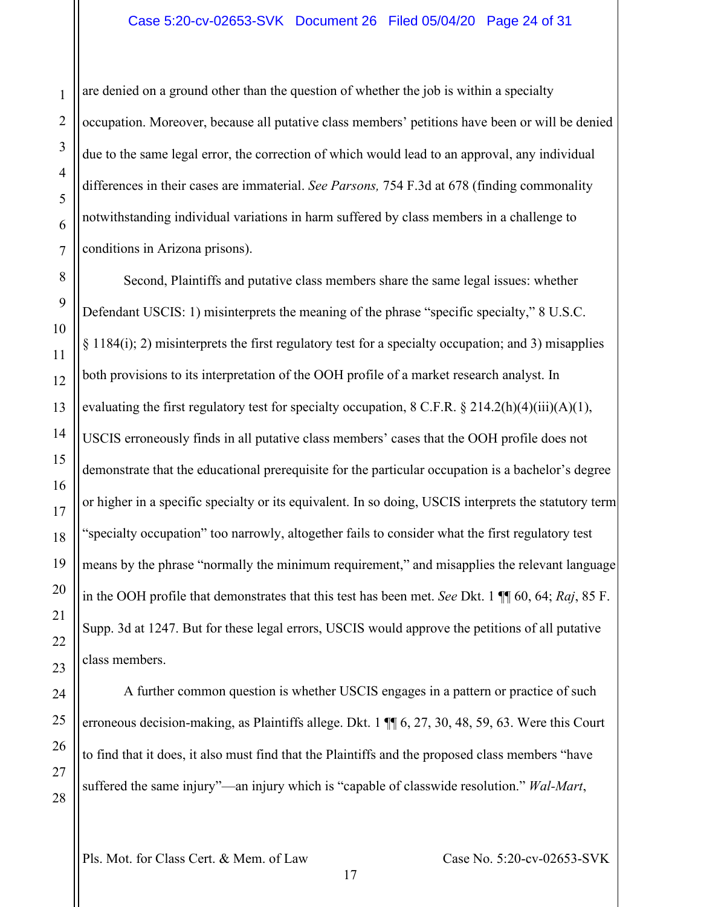are denied on a ground other than the question of whether the job is within a specialty occupation. Moreover, because all putative class members' petitions have been or will be denied due to the same legal error, the correction of which would lead to an approval, any individual differences in their cases are immaterial. *See Parsons,* 754 F.3d at 678 (finding commonality notwithstanding individual variations in harm suffered by class members in a challenge to conditions in Arizona prisons).

Second, Plaintiffs and putative class members share the same legal issues: whether Defendant USCIS: 1) misinterprets the meaning of the phrase "specific specialty," 8 U.S.C.  $\S 1184(i)$ ; 2) misinterprets the first regulatory test for a specialty occupation; and 3) misapplies both provisions to its interpretation of the OOH profile of a market research analyst. In evaluating the first regulatory test for specialty occupation, 8 C.F.R.  $\S 214.2(h)(4)(iii)(A)(1)$ , USCIS erroneously finds in all putative class members' cases that the OOH profile does not demonstrate that the educational prerequisite for the particular occupation is a bachelor's degree or higher in a specific specialty or its equivalent. In so doing, USCIS interprets the statutory term "specialty occupation" too narrowly, altogether fails to consider what the first regulatory test means by the phrase "normally the minimum requirement," and misapplies the relevant language in the OOH profile that demonstrates that this test has been met. *See* Dkt. 1 ¶¶ 60, 64; *Raj*, 85 F. Supp. 3d at 1247. But for these legal errors, USCIS would approve the petitions of all putative class members.

A further common question is whether USCIS engages in a pattern or practice of such erroneous decision-making, as Plaintiffs allege. Dkt. 1  $\P$  6, 27, 30, 48, 59, 63. Were this Court to find that it does, it also must find that the Plaintiffs and the proposed class members "have suffered the same injury"—an injury which is "capable of classwide resolution." *Wal-Mart*,

1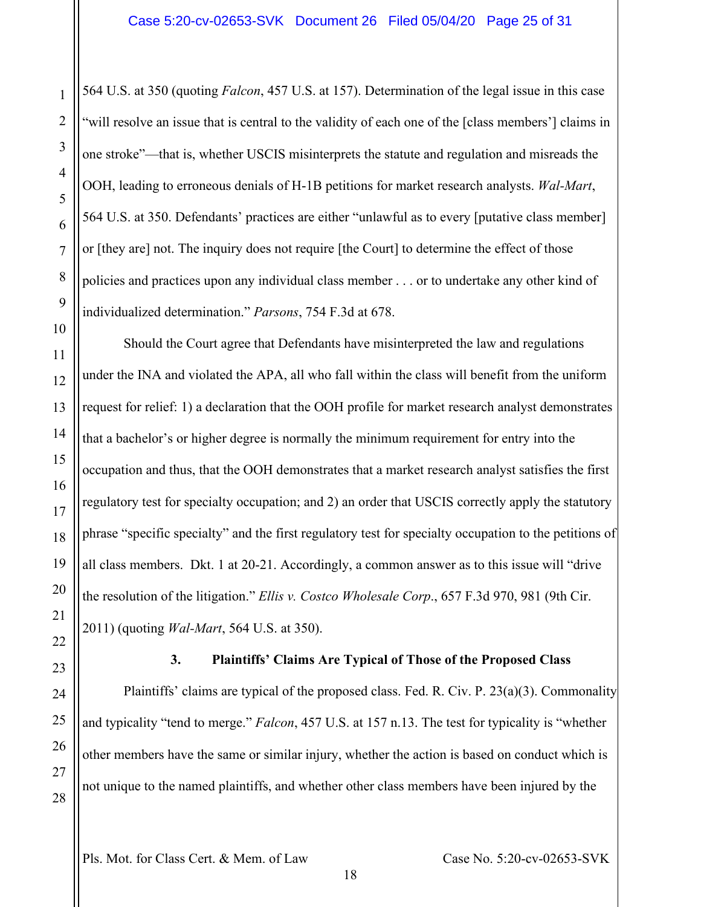564 U.S. at 350 (quoting *Falcon*, 457 U.S. at 157). Determination of the legal issue in this case "will resolve an issue that is central to the validity of each one of the [class members'] claims in one stroke"—that is, whether USCIS misinterprets the statute and regulation and misreads the OOH, leading to erroneous denials of H-1B petitions for market research analysts. *Wal-Mart*, 564 U.S. at 350. Defendants' practices are either "unlawful as to every [putative class member] or [they are] not. The inquiry does not require [the Court] to determine the effect of those policies and practices upon any individual class member . . . or to undertake any other kind of individualized determination." *Parsons*, 754 F.3d at 678.

Should the Court agree that Defendants have misinterpreted the law and regulations under the INA and violated the APA, all who fall within the class will benefit from the uniform request for relief: 1) a declaration that the OOH profile for market research analyst demonstrates that a bachelor's or higher degree is normally the minimum requirement for entry into the occupation and thus, that the OOH demonstrates that a market research analyst satisfies the first regulatory test for specialty occupation; and 2) an order that USCIS correctly apply the statutory phrase "specific specialty" and the first regulatory test for specialty occupation to the petitions of all class members. Dkt. 1 at 20-21. Accordingly, a common answer as to this issue will "drive the resolution of the litigation." *Ellis v. Costco Wholesale Corp*., 657 F.3d 970, 981 (9th Cir. 2011) (quoting *Wal-Mart*, 564 U.S. at 350).

28

1

2

3

4

5

6

7

8

9

10

11

12

13

14

15

16

17

18

## **3. Plaintiffs' Claims Are Typical of Those of the Proposed Class**

<span id="page-24-0"></span>Plaintiffs' claims are typical of the proposed class. Fed. R. Civ. P. 23(a)(3). Commonality and typicality "tend to merge." *Falcon*, 457 U.S. at 157 n.13. The test for typicality is "whether other members have the same or similar injury, whether the action is based on conduct which is not unique to the named plaintiffs, and whether other class members have been injured by the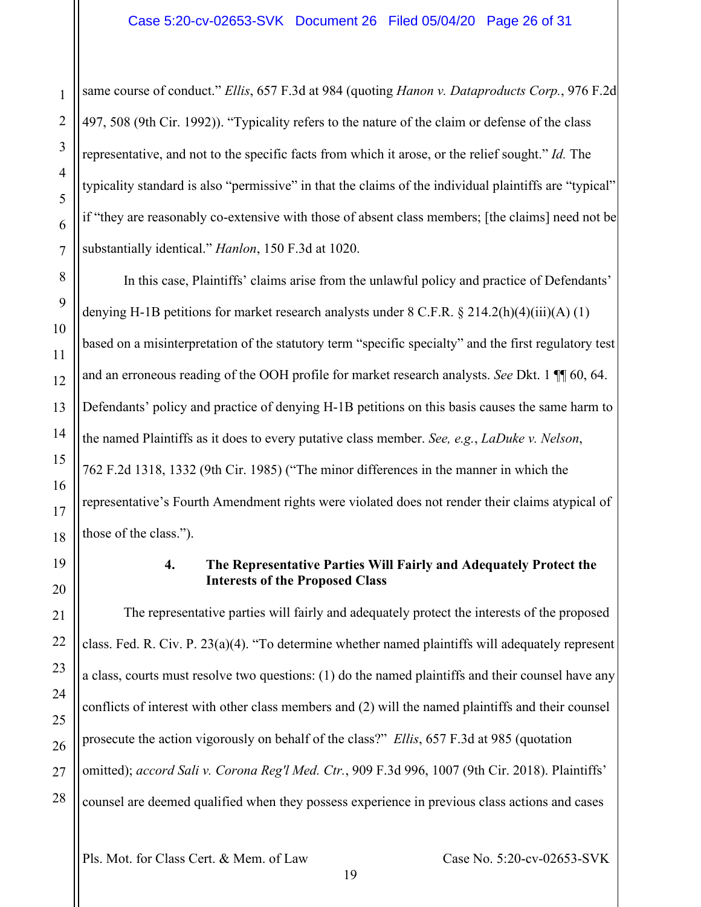same course of conduct." *Ellis*, 657 F.3d at 984 (quoting *Hanon v. Dataproducts Corp.*, 976 F.2d 497, 508 (9th Cir. 1992)). "Typicality refers to the nature of the claim or defense of the class representative, and not to the specific facts from which it arose, or the relief sought." *Id.* The typicality standard is also "permissive" in that the claims of the individual plaintiffs are "typical" if "they are reasonably co-extensive with those of absent class members; [the claims] need not be substantially identical." *Hanlon*, 150 F.3d at 1020.

In this case, Plaintiffs' claims arise from the unlawful policy and practice of Defendants' denying H-1B petitions for market research analysts under  $8 \text{ C.F.R.}$   $\frac{8 \text{ } 214.2 \text{ (h)}(4)(iii)}{A}(1)$ based on a misinterpretation of the statutory term "specific specialty" and the first regulatory test and an erroneous reading of the OOH profile for market research analysts. *See* Dkt. 1 ¶¶ 60, 64. Defendants' policy and practice of denying H-1B petitions on this basis causes the same harm to the named Plaintiffs as it does to every putative class member. *See, e.g.*, *LaDuke v. Nelson*, 762 F.2d 1318, 1332 (9th Cir. 1985) ("The minor differences in the manner in which the representative's Fourth Amendment rights were violated does not render their claims atypical of those of the class.").

#### **4. The Representative Parties Will Fairly and Adequately Protect the Interests of the Proposed Class**

<span id="page-25-0"></span>The representative parties will fairly and adequately protect the interests of the proposed class. Fed. R. Civ. P. 23(a)(4). "To determine whether named plaintiffs will adequately represent a class, courts must resolve two questions: (1) do the named plaintiffs and their counsel have any conflicts of interest with other class members and (2) will the named plaintiffs and their counsel prosecute the action vigorously on behalf of the class?" *Ellis*, 657 F.3d at 985 (quotation omitted); *accord Sali v. Corona Reg'l Med. Ctr.*, 909 F.3d 996, 1007 (9th Cir. 2018). Plaintiffs' counsel are deemed qualified when they possess experience in previous class actions and cases

Pls. Mot. for Class Cert. & Mem. of Law Case No. 5:20-cv-02653-SVK

19

1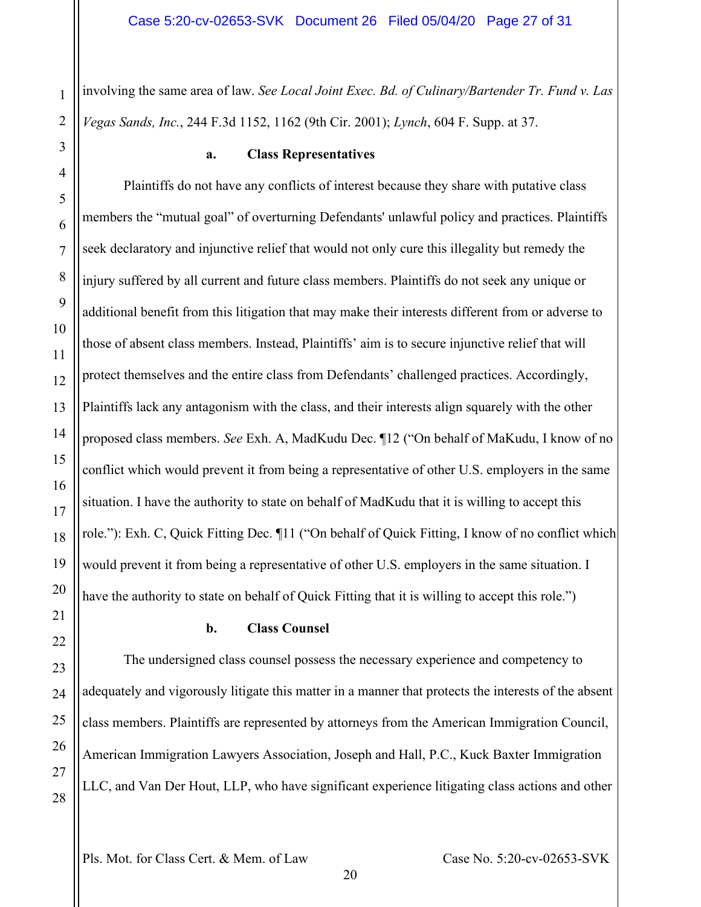involving the same area of law. *See Local Joint Exec. Bd. of Culinary/Bartender Tr. Fund v. Las Vegas Sands, Inc.*, 244 F.3d 1152, 1162 (9th Cir. 2001); *Lynch*, 604 F. Supp. at 37.

#### **a. Class Representatives**

1

2

<span id="page-26-0"></span>3

4

5

6

7

8

9

10

11

12

13

14

15

16

17

18

19

20

<span id="page-26-1"></span>21

22

23

24

25

26

27

28

Plaintiffs do not have any conflicts of interest because they share with putative class members the "mutual goal" of overturning Defendants' unlawful policy and practices. Plaintiffs seek declaratory and injunctive relief that would not only cure this illegality but remedy the injury suffered by all current and future class members. Plaintiffs do not seek any unique or additional benefit from this litigation that may make their interests different from or adverse to those of absent class members. Instead, Plaintiffs' aim is to secure injunctive relief that will protect themselves and the entire class from Defendants' challenged practices. Accordingly, Plaintiffs lack any antagonism with the class, and their interests align squarely with the other proposed class members. *See* Exh. A, MadKudu Dec. ¶12 ("On behalf of MaKudu, I know of no conflict which would prevent it from being a representative of other U.S. employers in the same situation. I have the authority to state on behalf of MadKudu that it is willing to accept this role."): Exh. C, Quick Fitting Dec. ¶11 ("On behalf of Quick Fitting, I know of no conflict which would prevent it from being a representative of other U.S. employers in the same situation. I have the authority to state on behalf of Quick Fitting that it is willing to accept this role.")

#### **b. Class Counsel**

The undersigned class counsel possess the necessary experience and competency to adequately and vigorously litigate this matter in a manner that protects the interests of the absent class members. Plaintiffs are represented by attorneys from the American Immigration Council, American Immigration Lawyers Association, Joseph and Hall, P.C., Kuck Baxter Immigration LLC, and Van Der Hout, LLP, who have significant experience litigating class actions and other

Pls. Mot. for Class Cert. & Mem. of Law Case No. 5:20-cv-02653-SVK

20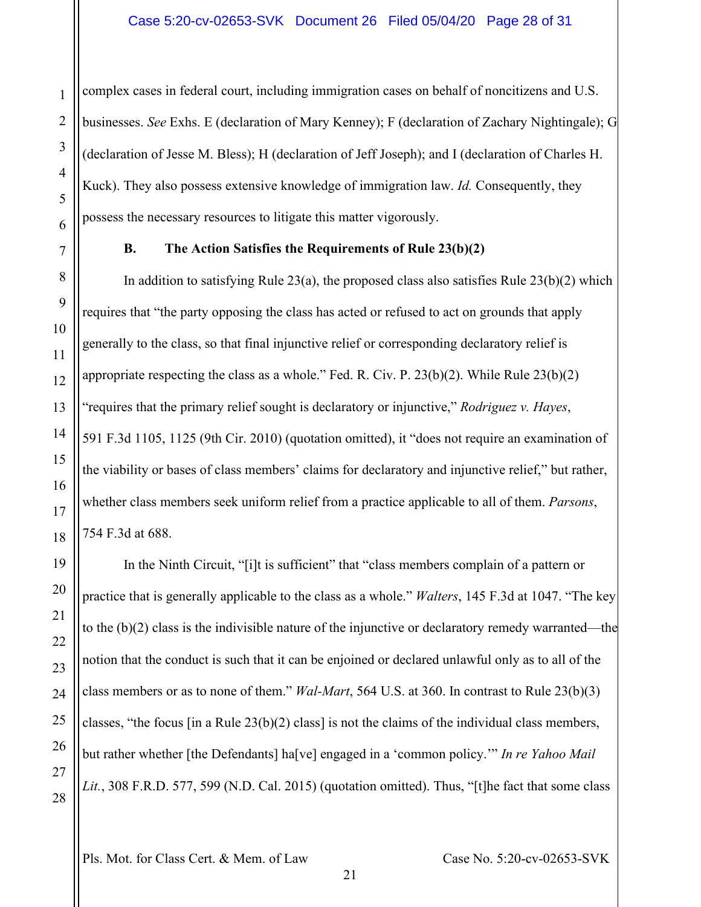complex cases in federal court, including immigration cases on behalf of noncitizens and U.S. businesses. *See* Exhs. E (declaration of Mary Kenney); F (declaration of Zachary Nightingale); G (declaration of Jesse M. Bless); H (declaration of Jeff Joseph); and I (declaration of Charles H. Kuck). They also possess extensive knowledge of immigration law. *Id.* Consequently, they possess the necessary resources to litigate this matter vigorously.

#### **B. The Action Satisfies the Requirements of Rule 23(b)(2)**

<span id="page-27-0"></span>In addition to satisfying Rule 23(a), the proposed class also satisfies Rule  $23(b)(2)$  which requires that "the party opposing the class has acted or refused to act on grounds that apply generally to the class, so that final injunctive relief or corresponding declaratory relief is appropriate respecting the class as a whole." Fed. R. Civ. P.  $23(b)(2)$ . While Rule  $23(b)(2)$ "requires that the primary relief sought is declaratory or injunctive," *Rodriguez v. Hayes*, 591 F.3d 1105, 1125 (9th Cir. 2010) (quotation omitted), it "does not require an examination of the viability or bases of class members' claims for declaratory and injunctive relief," but rather, whether class members seek uniform relief from a practice applicable to all of them. *Parsons*, 754 F.3d at 688.

In the Ninth Circuit, "[i]t is sufficient" that "class members complain of a pattern or practice that is generally applicable to the class as a whole." *Walters*, 145 F.3d at 1047. "The key to the (b)(2) class is the indivisible nature of the injunctive or declaratory remedy warranted—the notion that the conduct is such that it can be enjoined or declared unlawful only as to all of the class members or as to none of them." *Wal-Mart*, 564 U.S. at 360. In contrast to Rule 23(b)(3) classes, "the focus  $\lceil \text{in a Rule 23(b)(2) class} \rceil$  is not the claims of the individual class members, but rather whether [the Defendants] ha[ve] engaged in a 'common policy.'" *In re Yahoo Mail Lit.*, 308 F.R.D. 577, 599 (N.D. Cal. 2015) (quotation omitted). Thus, "[t]he fact that some class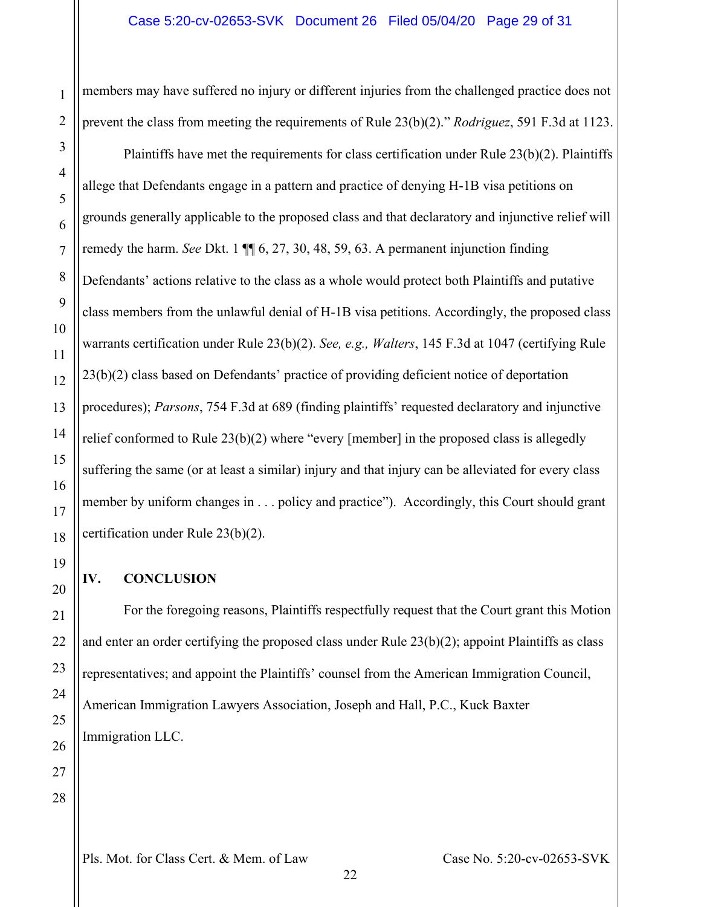members may have suffered no injury or different injuries from the challenged practice does not prevent the class from meeting the requirements of Rule 23(b)(2)." *Rodriguez*, 591 F.3d at 1123.

Plaintiffs have met the requirements for class certification under Rule 23(b)(2). Plaintiffs allege that Defendants engage in a pattern and practice of denying H-1B visa petitions on grounds generally applicable to the proposed class and that declaratory and injunctive relief will remedy the harm. *See* Dkt. 1 ¶¶ 6, 27, 30, 48, 59, 63. A permanent injunction finding Defendants' actions relative to the class as a whole would protect both Plaintiffs and putative class members from the unlawful denial of H-1B visa petitions. Accordingly, the proposed class warrants certification under Rule 23(b)(2). *See, e.g., Walters*, 145 F.3d at 1047 (certifying Rule 23(b)(2) class based on Defendants' practice of providing deficient notice of deportation procedures); *Parsons*, 754 F.3d at 689 (finding plaintiffs' requested declaratory and injunctive relief conformed to Rule 23(b)(2) where "every [member] in the proposed class is allegedly suffering the same (or at least a similar) injury and that injury can be alleviated for every class member by uniform changes in . . . policy and practice"). Accordingly, this Court should grant certification under Rule 23(b)(2).

### <span id="page-28-0"></span>**IV. CONCLUSION**

For the foregoing reasons, Plaintiffs respectfully request that the Court grant this Motion and enter an order certifying the proposed class under Rule 23(b)(2); appoint Plaintiffs as class representatives; and appoint the Plaintiffs' counsel from the American Immigration Council, American Immigration Lawyers Association, Joseph and Hall, P.C., Kuck Baxter Immigration LLC.

28

1

2

3

4

5

6

7

8

9

10

11

12

13

14

15

16

17

18

19

20

21

22

23

24

25

26

27

Pls. Mot. for Class Cert. & Mem. of Law Case No. 5:20-cv-02653-SVK

22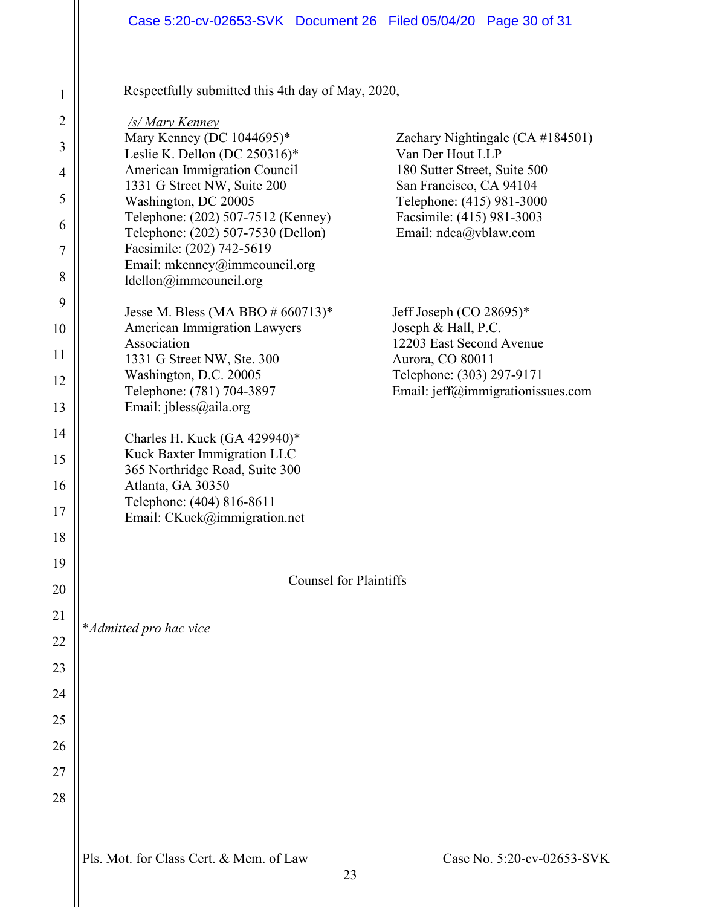Respectfully submitted this 4th day of May, 2020,

| $\overline{2}$ | /s/ Mary Kenney                                                          |                                                                |
|----------------|--------------------------------------------------------------------------|----------------------------------------------------------------|
| 3              | Mary Kenney (DC 1044695)*<br>Leslie K. Dellon (DC 250316)*               | Zachary Nightingale (CA #184501)<br>Van Der Hout LLP           |
| $\overline{4}$ | American Immigration Council<br>1331 G Street NW, Suite 200              | 180 Sutter Street, Suite 500<br>San Francisco, CA 94104        |
| 5              | Washington, DC 20005                                                     | Telephone: (415) 981-3000                                      |
| 6              | Telephone: (202) 507-7512 (Kenney)<br>Telephone: (202) 507-7530 (Dellon) | Facsimile: (415) 981-3003<br>Email: ndca@vblaw.com             |
| 7              | Facsimile: (202) 742-5619                                                |                                                                |
| 8              | Email: mkenney@immcouncil.org<br>ldellon@immcouncil.org                  |                                                                |
| 9              | Jesse M. Bless (MA BBO $#660713$ )*                                      | Jeff Joseph (CO 28695)*                                        |
| 10             | <b>American Immigration Lawyers</b><br>Association                       | Joseph & Hall, P.C.<br>12203 East Second Avenue                |
| 11             | 1331 G Street NW, Ste. 300                                               | Aurora, CO 80011                                               |
| 12             | Washington, D.C. 20005<br>Telephone: (781) 704-3897                      | Telephone: (303) 297-9171<br>Email: jeff@immigrationissues.com |
| 13             | Email: jbless@aila.org                                                   |                                                                |
| 14             | Charles H. Kuck (GA 429940)*                                             |                                                                |
| 15             | Kuck Baxter Immigration LLC                                              |                                                                |
| 16             | 365 Northridge Road, Suite 300<br>Atlanta, GA 30350                      |                                                                |
| 17             | Telephone: (404) 816-8611<br>Email: CKuck@immigration.net                |                                                                |
| 18             |                                                                          |                                                                |
| 19             |                                                                          |                                                                |
| 20             | <b>Counsel for Plaintiffs</b>                                            |                                                                |
| 21             |                                                                          |                                                                |
| 22             | *Admitted pro hac vice                                                   |                                                                |
| 23             |                                                                          |                                                                |
| 24             |                                                                          |                                                                |
| 25             |                                                                          |                                                                |
| 26             |                                                                          |                                                                |
| 27             |                                                                          |                                                                |
| 28             |                                                                          |                                                                |
|                |                                                                          |                                                                |
|                | Pls. Mot. for Class Cert. & Mem. of Law                                  | Case No. 5:20-cv-02653-SVK                                     |